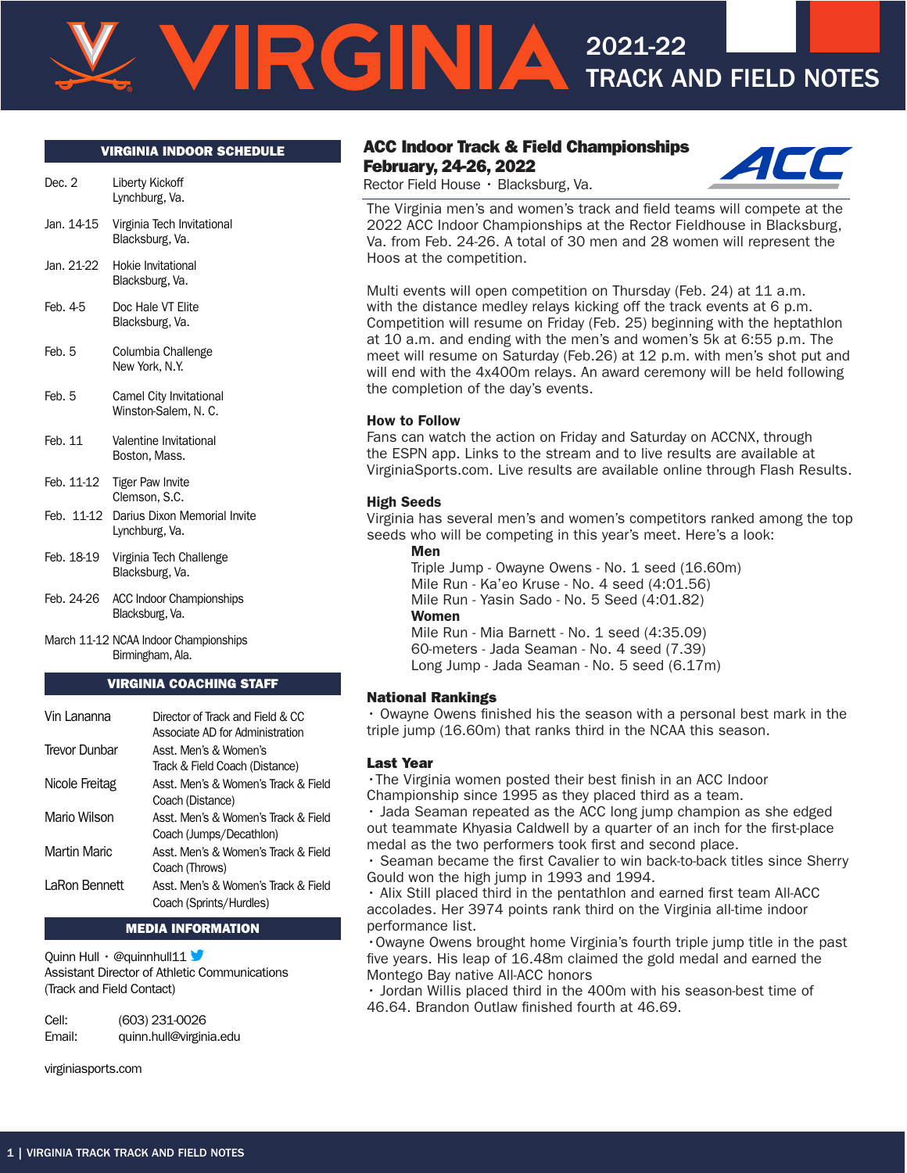#### VIRGINIA INDOOR SCHEDULE

| Dec. 2       | Liberty Kickoff<br>Lynchburg, Va.               |
|--------------|-------------------------------------------------|
| Jan. 14-15   | Virginia Tech Invitational<br>Blacksburg, Va.   |
| Jan. 21-22   | Hokie Invitational<br>Blacksburg, Va.           |
| Feb. 4-5     | Doc Hale VT Elite<br>Blacksburg, Va.            |
| Feb. 5       | Columbia Challenge<br>New York, N.Y.            |
| Feb. 5       | Camel City Invitational<br>Winston-Salem, N. C. |
| Feb. 11      | Valentine Invitational<br>Boston, Mass.         |
| Feb. 11-12   | <b>Tiger Paw Invite</b><br>Clemson, S.C.        |
| $F_0 h$ 1110 | Darius Divon Momorial Invito                    |

- Feb. 11-12 Darius Dixon Memorial Invite Lynchburg, Va.
- Feb. 18-19 Virginia Tech Challenge Blacksburg, Va.
- Feb. 24-26 ACC Indoor Championships Blacksburg, Va.
- March 11-12 NCAA Indoor Championships Birmingham, Ala.

#### VIRGINIA COACHING STAFF

| Vin Lananna         | Director of Track and Field & CC<br>Associate AD for Administration |
|---------------------|---------------------------------------------------------------------|
| Trevor Dunbar       | Asst. Men's & Women's<br>Track & Field Coach (Distance)             |
| Nicole Freitag      | Asst. Men's & Women's Track & Field<br>Coach (Distance)             |
| Mario Wilson        | Asst. Men's & Women's Track & Field<br>Coach (Jumps/Decathion)      |
| <b>Martin Maric</b> | Asst. Men's & Women's Track & Field<br>Coach (Throws)               |
| LaRon Bennett       | Asst. Men's & Women's Track & Field<br>Coach (Sprints/Hurdles)      |

#### MEDIA INFORMATION

Quinn Hull · @quinnhull11 Assistant Director of Athletic Communications (Track and Field Contact)

Cell: (603) 231-0026 Email: quinn.hull@virginia.edu

virginiasports.com

#### ACC Indoor Track & Field Championships February, 24-26, 2022



2021-22



The Virginia men's and women's track and field teams will compete at the 2022 ACC Indoor Championships at the Rector Fieldhouse in Blacksburg, Va. from Feb. 24-26. A total of 30 men and 28 women will represent the Hoos at the competition.

Multi events will open competition on Thursday (Feb. 24) at 11 a.m. with the distance medley relays kicking off the track events at 6 p.m. Competition will resume on Friday (Feb. 25) beginning with the heptathlon at 10 a.m. and ending with the men's and women's 5k at 6:55 p.m. The meet will resume on Saturday (Feb.26) at 12 p.m. with men's shot put and will end with the 4x400m relays. An award ceremony will be held following the completion of the day's events.

#### How to Follow

RGNIA

Fans can watch the action on Friday and Saturday on ACCNX, through the ESPN app. Links to the stream and to live results are available at VirginiaSports.com. Live results are available online through Flash Results.

#### High Seeds

Virginia has several men's and women's competitors ranked among the top seeds who will be competing in this year's meet. Here's a look: Men

Triple Jump - Owayne Owens - No. 1 seed (16.60m) Mile Run - Ka'eo Kruse - No. 4 seed (4:01.56) Mile Run - Yasin Sado - No. 5 Seed (4:01.82) **Women** Mile Run - Mia Barnett - No. 1 seed (4:35.09) 60-meters - Jada Seaman - No. 4 seed (7.39)

Long Jump - Jada Seaman - No. 5 seed (6.17m)

#### National Rankings

• Owayne Owens finished his the season with a personal best mark in the triple jump (16.60m) that ranks third in the NCAA this season.

#### Last Year

•The Virginia women posted their best finish in an ACC Indoor Championship since 1995 as they placed third as a team.

• Jada Seaman repeated as the ACC long jump champion as she edged out teammate Khyasia Caldwell by a quarter of an inch for the first-place medal as the two performers took first and second place.

• Seaman became the first Cavalier to win back-to-back titles since Sherry Gould won the high jump in 1993 and 1994.

• Alix Still placed third in the pentathlon and earned first team All-ACC accolades. Her 3974 points rank third on the Virginia all-time indoor performance list.

•Owayne Owens brought home Virginia's fourth triple jump title in the past five years. His leap of 16.48m claimed the gold medal and earned the Montego Bay native All-ACC honors

• Jordan Willis placed third in the 400m with his season-best time of 46.64. Brandon Outlaw finished fourth at 46.69.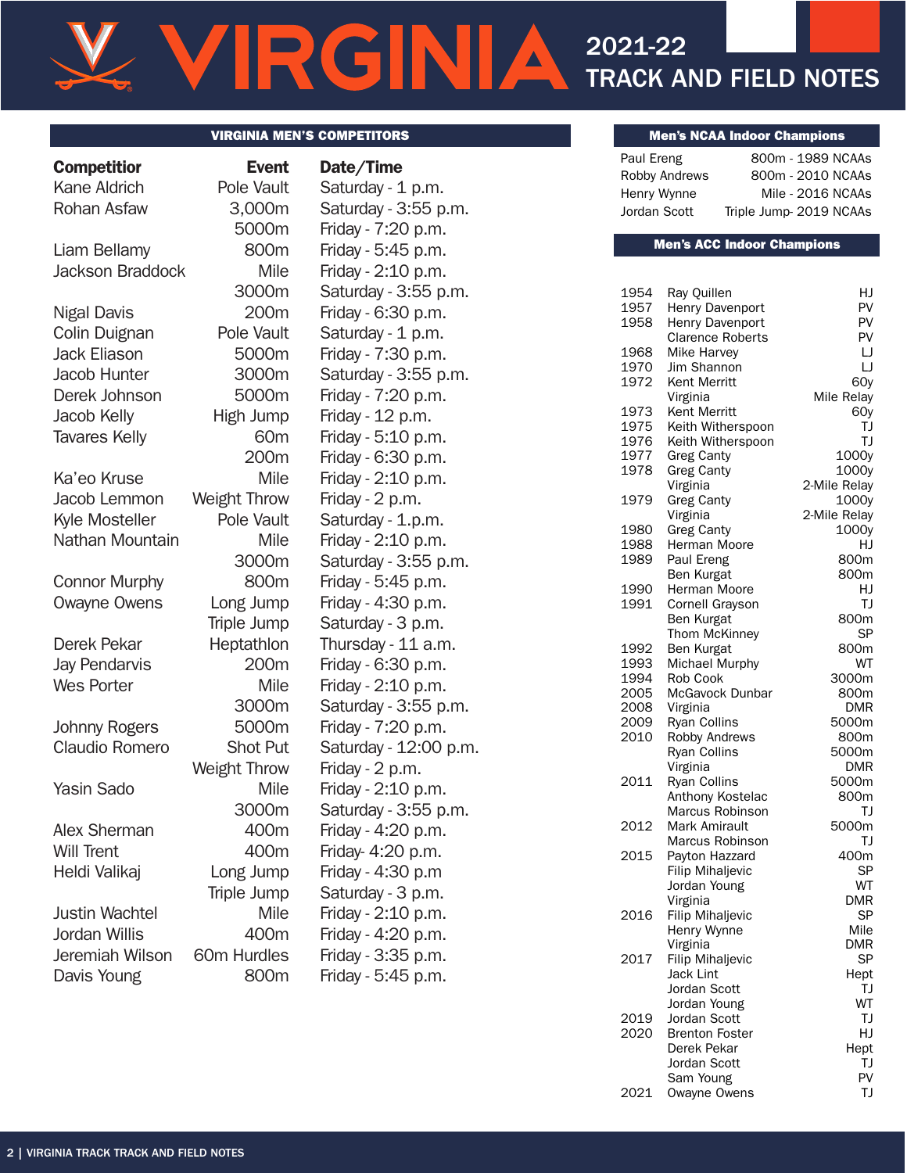# **IRGINIA** 2021-22 TRACK AND FIELD NOTES

#### VIRGINIA MEN'S COMPETITORS MENTIFORS MENTIFORS MENTIFORE SERVICE SUBSERVIATIONS MENTIFORE SERVICE SUBSERVIATIONS

| <b>Competitior</b>      | <b>Event</b>        | Date/Time             |
|-------------------------|---------------------|-----------------------|
| Kane Aldrich            | Pole Vault          | Saturday - 1 p.m.     |
| Rohan Asfaw             | 3,000m              | Saturday - 3:55 p.m.  |
|                         | 5000m               | Friday - 7:20 p.m.    |
| Liam Bellamy            | 800m                | Friday - 5:45 p.m.    |
| <b>Jackson Braddock</b> | Mile                | Friday - 2:10 p.m.    |
|                         | 3000m               | Saturday - 3:55 p.m.  |
| Nigal Davis             | 200m                | Friday - 6:30 p.m.    |
| Colin Duignan           | Pole Vault          | Saturday - 1 p.m.     |
| <b>Jack Eliason</b>     | 5000m               | Friday - 7:30 p.m.    |
| Jacob Hunter            | 3000m               | Saturday - 3:55 p.m.  |
| Derek Johnson           | 5000m               | Friday - 7:20 p.m.    |
| Jacob Kelly             | High Jump           | Friday - 12 p.m.      |
| <b>Tavares Kelly</b>    | 60 <sub>m</sub>     | Friday - 5:10 p.m.    |
|                         | 200m                | Friday - 6:30 p.m.    |
| Ka'eo Kruse             | Mile                | Friday - 2:10 p.m.    |
| Jacob Lemmon            | <b>Weight Throw</b> | Friday - 2 p.m.       |
| Kyle Mosteller          | Pole Vault          | Saturday - 1.p.m.     |
| Nathan Mountain         | Mile                | Friday - 2:10 p.m.    |
|                         | 3000m               | Saturday - 3:55 p.m.  |
| <b>Connor Murphy</b>    | 800m                | Friday - 5:45 p.m.    |
| Owayne Owens            | Long Jump           | Friday - 4:30 p.m.    |
|                         | Triple Jump         | Saturday - 3 p.m.     |
| Derek Pekar             | Heptathlon          | Thursday - 11 a.m.    |
| <b>Jay Pendarvis</b>    | 200 <sub>m</sub>    | Friday - 6:30 p.m.    |
| <b>Wes Porter</b>       | Mile                | Friday - 2:10 p.m.    |
|                         | 3000m               | Saturday - 3:55 p.m.  |
| Johnny Rogers           | 5000m               | Friday - 7:20 p.m.    |
| Claudio Romero          | <b>Shot Put</b>     | Saturday - 12:00 p.m. |
|                         | Weight Throw        | Friday - 2 p.m.       |
| Yasin Sado              | Mile                | Friday - 2:10 p.m.    |
|                         | 3000m               | Saturday - 3:55 p.m.  |
| Alex Sherman            | 400m                | Friday - 4:20 p.m.    |
| <b>Will Trent</b>       | 400m                | Friday- 4:20 p.m.     |
| Heldi Valikaj           | Long Jump           | Friday - 4:30 p.m     |
|                         | Triple Jump         | Saturday - 3 p.m.     |
| <b>Justin Wachtel</b>   | Mile                | Friday - 2:10 p.m.    |
| Jordan Willis           | 400m                | Friday - 4:20 p.m.    |
| Jeremiah Wilson         | 60m Hurdles         | Friday - 3:35 p.m.    |
| Davis Young             | 800m                | Friday - 5:45 p.m.    |

| Date/Time                               |
|-----------------------------------------|
| Saturday - 1 p.m.                       |
| Saturday - 3:55 p.m.                    |
| Friday - 7:20 p.m.                      |
| Friday - 5:45 p.m.                      |
| Friday - 2:10 p.m.                      |
| Saturday - 3:55 p.m.                    |
| Friday - 6:30 p.m.                      |
| Saturday - 1 p.m.                       |
| Friday - 7:30 p.m.                      |
| Saturday - 3:55 p.m.                    |
| Friday - 7:20 p.m.                      |
| Friday - 12 p.m.                        |
| Friday - 5:10 p.m.                      |
| Friday - 6:30 p.m.                      |
| Friday - 2:10 p.m.                      |
| Friday - 2 p.m.                         |
| Saturday - 1.p.m.                       |
| Friday - 2:10 p.m.                      |
| Saturday - 3:55 p.m.                    |
| Friday - 5:45 p.m.                      |
| Friday - 4:30 p.m.                      |
| Saturday - 3 p.m.                       |
| Thursday - 11 a.m.                      |
| Friday - 6:30 p.m.                      |
| Friday - 2:10 p.m.                      |
| Saturday - 3:55 p.m.                    |
| Friday - 7:20 p.m.                      |
| Saturday - 12:00 p.m.                   |
| Friday - 2 p.m.                         |
| Friday - 2:10 p.m.                      |
| Saturday - 3:55 p.m.                    |
| Friday - 4:20 p.m.<br>Friday- 4:20 p.m. |
| Friday - 4:30 p.m                       |
| Saturday - 3 p.m.                       |
| Friday - 2:10 p.m.                      |
| Friday - 4:20 p.m.                      |
| Friday - 3:35 p.m.                      |
|                                         |

| Paul Ereng    | 800m - 1989 NCAAs      |
|---------------|------------------------|
| Robby Andrews | 800m - 2010 NCAAs      |
| Henry Wynne   | Mile - 2016 NCAAs      |
| Jordan Scott  | Triple Jump-2019 NCAAs |

#### Men's ACC Indoor Champions

| 1954 | Ray Quillen             | HJ           |
|------|-------------------------|--------------|
| 1957 | Henry Davenport         | PV           |
| 1958 | Henry Davenport         | PV           |
|      | <b>Clarence Roberts</b> | PV           |
| 1968 | Mike Harvey             | IJ           |
| 1970 | Jim Shannon             | IJ           |
| 1972 | Kent Merritt            | 60y          |
|      | Virginia                | Mile Relay   |
| 1973 | Kent Merritt            | 60y          |
| 1975 | Keith Witherspoon       | TJ           |
| 1976 |                         | TJ           |
|      | Keith Witherspoon       |              |
| 1977 | <b>Greg Canty</b>       | 1000y        |
| 1978 | <b>Greg Canty</b>       | 1000y        |
|      | Virginia                | 2-Mile Relay |
| 1979 | <b>Greg Canty</b>       | 1000y        |
|      | Virginia                | 2-Mile Relay |
| 1980 | <b>Greg Canty</b>       | 1000y        |
| 1988 | Herman Moore            | HJ           |
| 1989 | Paul Ereng              | 800m         |
|      | Ben Kurgat              | 800m         |
| 1990 | Herman Moore            | HJ           |
| 1991 | Cornell Grayson         | TJ           |
|      | Ben Kurgat              | 800m         |
|      | Thom McKinney           | <b>SP</b>    |
| 1992 | Ben Kurgat              | 800m         |
| 1993 | Michael Murphy          | WT           |
| 1994 | Rob Cook                | 3000m        |
| 2005 | McGavock Dunbar         | 800m         |
| 2008 | Virginia                | <b>DMR</b>   |
| 2009 | Ryan Collins            | 5000m        |
| 2010 | Robby Andrews           | 800m         |
|      | <b>Ryan Collins</b>     | 5000m        |
|      | Virginia                | DMR          |
| 2011 | <b>Ryan Collins</b>     | 5000m        |
|      | Anthony Kostelac        | 800m         |
|      | Marcus Robinson         | TJ           |
| 2012 | Mark Amirault           | 5000m        |
|      | Marcus Robinson         | TJ           |
| 2015 | Payton Hazzard          | 400m         |
|      | <b>Filip Mihaljevic</b> | SP           |
|      | Jordan Young            | WT           |
|      | Virginia                | <b>DMR</b>   |
| 2016 |                         | SP           |
|      | <b>Filip Mihaljevic</b> | Mile         |
|      | Henry Wynne             |              |
|      | Virginia                | DMR          |
| 2017 | <b>Filip Mihaljevic</b> | SP           |
|      | <b>Jack Lint</b>        | Hept         |
|      | Jordan Scott            | TJ           |
|      | Jordan Young            | WT           |
| 2019 | Jordan Scott            | TJ           |
| 2020 | <b>Brenton Foster</b>   | HJ           |
|      | Derek Pekar             | Hept         |
|      | Jordan Scott            | TJ           |
|      | Sam Young               | PV           |
| 2021 | Owayne Owens            | ΤJ           |
|      |                         |              |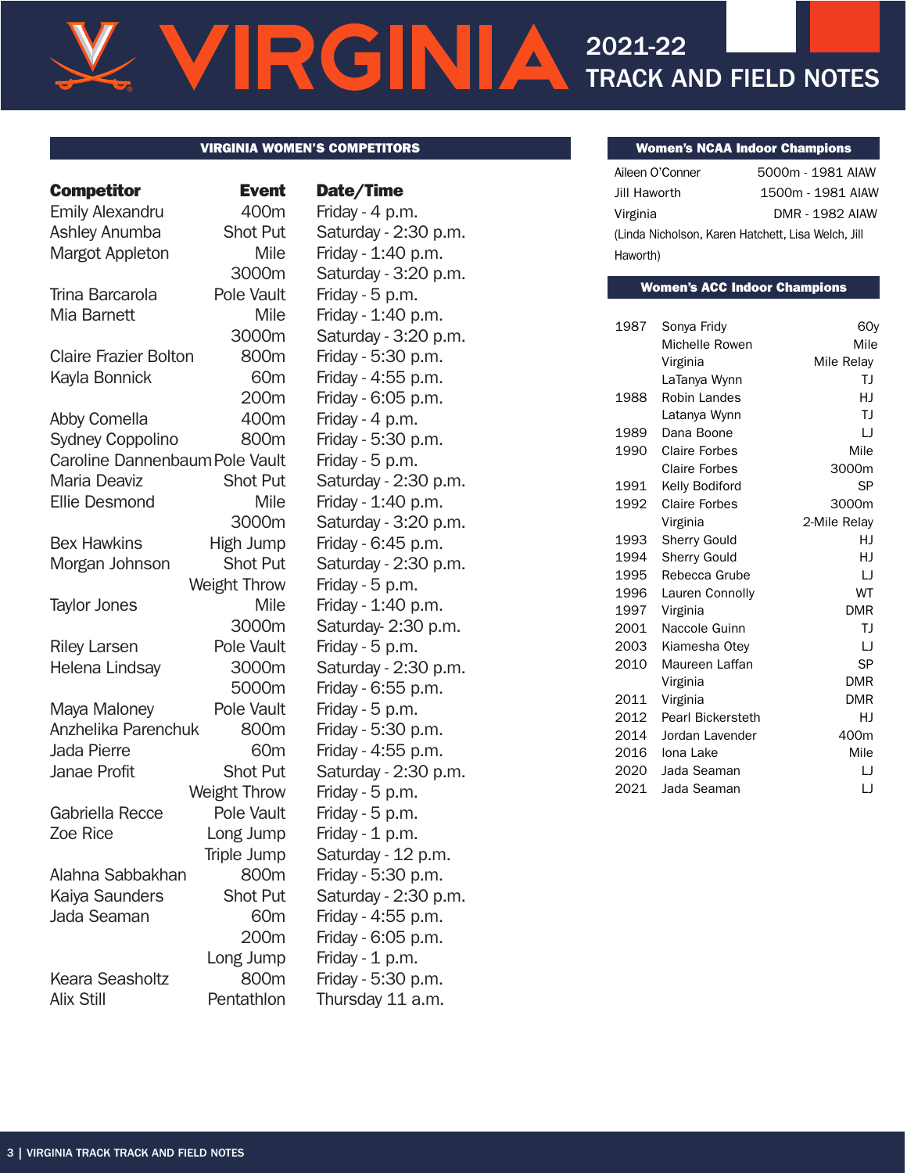# RGNIA 2021-22 TRACK AND FIELD NOTES

#### VIRGINIA WOMEN'S COMPETITORS

Emily Alexandru 400m Friday - 4 p.m. Ashley Anumba Shot Put Saturday - 2:30 p.m. Margot Appleton Mile Friday - 1:40 p.m. Trina Barcarola Pole Vault Friday - 5 p.m. Mia Barnett Mile Friday - 1:40 p.m. Claire Frazier Bolton 800m Friday - 5:30 p.m. Kayla Bonnick 60m Friday - 4:55 p.m. Abby Comella 400m Friday - 4 p.m. Sydney Coppolino 800m Friday - 5:30 p.m. Caroline Dannenbaum Pole Vault Friday - 5 p.m. Maria Deaviz Shot Put Saturday - 2:30 p.m. Ellie Desmond Mile Friday - 1:40 p.m. Bex Hawkins High Jump Friday - 6:45 p.m. Morgan Johnson Shot Put Saturday - 2:30 p.m. Taylor Jones Mile Friday - 1:40 p.m. Riley Larsen Pole Vault Friday - 5 p.m. Helena Lindsay 3000m Saturday - 2:30 p.m. Maya Maloney Pole Vault Friday - 5 p.m. Anzhelika Parenchuk 800m Friday - 5:30 p.m. Jada Pierre 60m Friday - 4:55 p.m. Janae Profit Shot Put Saturday - 2:30 p.m. Gabriella Recce Pole Vault Friday - 5 p.m. Zoe Rice **Long Jump** Friday - 1 p.m. Alahna Sabbakhan 800m Friday - 5:30 p.m. Kaiya Saunders Shot Put Saturday - 2:30 p.m. Jada Seaman 60m Friday - 4:55 p.m. Keara Seasholtz 800m Friday - 5:30 p.m.

# Competitor Event Date/Time

3000m Saturday - 3:20 p.m. 3000m Saturday - 3:20 p.m. 200m Friday - 6:05 p.m. 3000m Saturday - 3:20 p.m. Weight Throw Friday - 5 p.m. 3000m Saturday- 2:30 p.m. 5000m Friday - 6:55 p.m. Weight Throw Friday - 5 p.m. Triple Jump Saturday - 12 p.m. 200m Friday - 6:05 p.m. Long Jump Friday - 1 p.m. Alix Still **Pentathlon** Thursday 11 a.m.

### Women's NCAA Indoor Champions

| Aileen O'Conner | 5000m - 1981 AIAW                                  |
|-----------------|----------------------------------------------------|
| Jill Haworth    | 1500m - 1981 AIAW                                  |
| Virginia        | <b>DMR - 1982 AIAW</b>                             |
|                 | (Linda Nicholson, Karen Hatchett, Lisa Welch, Jill |
| Haworth)        |                                                    |

#### Women's ACC Indoor Champions

| 1987 | Sonya Fridy              | 60y          |
|------|--------------------------|--------------|
|      | Michelle Rowen           | Mile         |
|      | Virginia                 | Mile Relay   |
|      | LaTanya Wynn             | ΤJ           |
| 1988 | Robin Landes             | HJ           |
|      | Latanya Wynn             | TJ           |
| 1989 | Dana Boone               | IJ           |
| 1990 | <b>Claire Forbes</b>     | Mile         |
|      | <b>Claire Forbes</b>     | 3000m        |
| 1991 | Kelly Bodiford           | SP           |
| 1992 | <b>Claire Forbes</b>     | 3000m        |
|      | Virginia                 | 2-Mile Relay |
| 1993 | <b>Sherry Gould</b>      | HJ           |
| 1994 | Sherry Gould             | HJ           |
| 1995 | Rebecca Grube            | IJ           |
| 1996 | Lauren Connolly          | WT           |
| 1997 | Virginia                 | <b>DMR</b>   |
| 2001 | Naccole Guinn            | IJ           |
| 2003 | Kiamesha Otev            | IJ           |
| 2010 | Maureen Laffan           | <b>SP</b>    |
|      | Virginia                 | <b>DMR</b>   |
| 2011 | Virginia                 | <b>DMR</b>   |
| 2012 | <b>Pearl Bickersteth</b> | HJ           |
| 2014 | Jordan Lavender          | 400m         |
| 2016 | Iona Lake                | Mile         |
| 2020 | Jada Seaman              | IJ           |
| 2021 | Jada Seaman              | IJ           |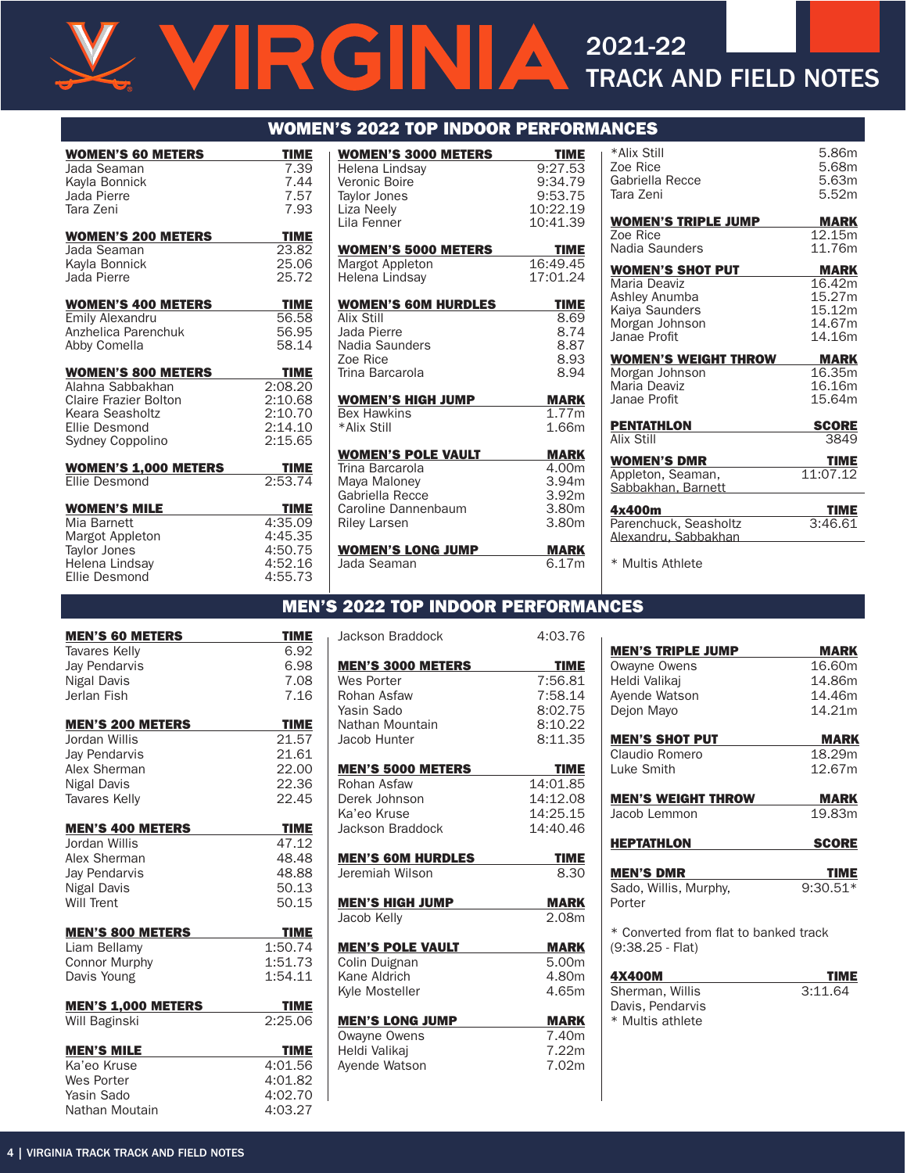# $\triangle$ 2021-22 TRACK AND FIELD NOTES

| <b>WOMEN'S 60 METERS</b>    | <b>TIME</b>  |
|-----------------------------|--------------|
| Jada Seaman                 | 7.39         |
| Kavla Bonnick               | 7.44         |
| Jada Pierre<br>Tara 7eni    | 7.57<br>7.93 |
|                             |              |
| <b>WOMEN'S 200 METERS</b>   | <b>TIME</b>  |
| Jada Seaman                 | 23.82        |
| Kavla Bonnick               | 25.06        |
| Jada Pierre                 | 25.72        |
| <b>WOMEN'S 400 METERS</b>   | <b>TIME</b>  |
| <b>Emily Alexandru</b>      | 56.58        |
| Anzhelica Parenchuk         | 56.95        |
| Abby Comella                | 58.14        |
| <b>WOMEN'S 800 METERS</b>   | <b>TIME</b>  |
| Alahna Sabbakhan            | 2:08.20      |
| Claire Frazier Bolton       | 2:10.68      |
| Keara Seasholtz             | 2:10.70      |
| Ellie Desmond               | 2:14.10      |
| Sydney Coppolino            | 2:15.65      |
| <b>WOMEN'S 1,000 METERS</b> | <b>TIME</b>  |
| <b>Fllie Desmond</b>        | 2:53.74      |
| <b>WOMEN'S MILE</b>         | <b>TIME</b>  |
| Mia Barnett                 | 4:35.09      |
| Margot Appleton             | 4:45.35      |
| Taylor Jones                | 4:50.75      |
| Helena Lindsay              | 4:52.16      |
| <b>Fllie Desmond</b>        | 4:55.73      |

|                        | <b>WOMEN'S 2022 TOP INDOOR PERFORMANCES</b> |                            |                |
|------------------------|---------------------------------------------|----------------------------|----------------|
| <b>TIME</b>            | <b>WOMEN'S 3000 METERS</b>                  | <b>TIME</b>                | *Alix Sti      |
| 7.39                   | Helena Lindsay                              | 9:27.53                    | Zoe Rice       |
| 7.44                   | Veronic Boire                               | 9:34.79                    | Gabriella      |
| 7.57                   | <b>Taylor Jones</b>                         | 9:53.75                    | Tara Zen       |
| 7.93                   | Liza Neely                                  | 10:22.19                   |                |
|                        | Lila Fenner                                 | 10:41.39                   | <b>WOMEN</b>   |
| <b>TIME</b>            |                                             |                            | Zoe Rice       |
| 23.82                  | <b>WOMEN'S 5000 METERS</b>                  | <b>TIME</b>                | Nadia Sa       |
| 25.06                  | Margot Appleton                             | 16:49.45                   | <b>WOMEN</b>   |
| 25.72                  | Helena Lindsay                              | 17:01.24                   | Maria De       |
| <b>TIME</b>            | <b>WOMEN'S GOM HURDLES</b>                  | <b>TIME</b>                | Ashley A       |
| 56.58                  | Alix Still                                  | 8.69                       | Kaiya Sa       |
| 56.95                  | Jada Pierre                                 | 8.74                       | Morgan         |
| 58.14                  | Nadia Saunders                              | 8.87                       | Janae Pr       |
|                        | Zoe Rice                                    | 8.93                       | <b>WOMEN</b>   |
| <b>TIME</b>            | Trina Barcarola                             | 8.94                       | Morgan         |
| 2:08.20                |                                             |                            | Maria De       |
| 2:10.68                | <b>WOMEN'S HIGH JUMP</b>                    | <b>MARK</b>                | Janae Pr       |
| 2:10.70                | <b>Bex Hawkins</b>                          | 1.77m                      |                |
| 2:14.10                | *Alix Still                                 | 1.66m                      | <b>PENTATI</b> |
| 2:15.65                |                                             |                            | Alix Still     |
|                        | <b>WOMEN'S POLE VAULT</b>                   | <b>MARK</b>                | <b>WOMEN</b>   |
| <b>TIME</b><br>2:53.74 | Trina Barcarola                             | 4.00m                      | Appletor       |
|                        | Maya Maloney<br>Gabriella Recce             | 3.94m<br>3.92 <sub>m</sub> | Sabbakh        |
| <b>TIME</b>            | Caroline Dannenbaum                         | 3.80m                      | 4x400m         |
| 4:35.09                | <b>Riley Larsen</b>                         | 3.80m                      | Parench        |
| 4:45.35                |                                             |                            | Alexandr       |
| 4:50.75                | <b>WOMEN'S LONG JUMP</b>                    | <b>MARK</b>                |                |
| 4:52.16                | Jada Seaman                                 | 6.17m                      | * Multis       |
| 4.5573                 |                                             |                            |                |

| ANG <del>t</del> o                                                                                           |                                                               |
|--------------------------------------------------------------------------------------------------------------|---------------------------------------------------------------|
| *Alix Still<br>Zoe Rice<br>Gabriella Recce<br>Tara Zeni                                                      | 5.86m<br>5.68m<br>5.63m<br>5.52m                              |
| <b>WOMEN'S TRIPLE JUMP</b><br>Zoe Rice<br>Nadia Saunders                                                     | <b>MARK</b><br>12.15m<br>11.76m                               |
| <b>WOMEN'S SHOT PUT</b><br>Maria Deaviz<br>Ashley Anumba<br>Kaiya Saunders<br>Morgan Johnson<br>Janae Profit | <b>MARK</b><br>16.42m<br>15.27m<br>15.12m<br>14.67m<br>14.16m |
| WOMEN'S WEIGHT THROW<br>Morgan Johnson<br>Maria Deaviz<br>Janae Profit                                       | MARK<br>16.35m<br>16.16m<br>15.64m                            |
| <b>PENTATHLON</b><br>Alix Still                                                                              | <b>SCORE</b><br>3849                                          |
| <b>WOMEN'S DMR</b><br>Appleton, Seaman,<br>Sabbakhan, Barnett                                                | <b>TIME</b><br>11:07.12                                       |
| 4x400m<br>Parenchuck, Seasholtz<br>Alexandru, Sabbakhan                                                      | <b>TIME</b><br>3:46.61                                        |
|                                                                                                              |                                                               |

\* Multis Athlete

\* Multis athlete

# MEN'S 2022 TOP INDOOR PERFORMANCES

| <b>MEN'S 60 METERS</b>    | <b>TIME</b> | <b>Jackson Braddock</b>  | 4:03.76     |
|---------------------------|-------------|--------------------------|-------------|
| <b>Tavares Kelly</b>      | 6.92        |                          |             |
| Jay Pendarvis             | 6.98        | <b>MEN'S 3000 METERS</b> | <b>TIME</b> |
| Nigal Davis               | 7.08        | Wes Porter               | 7:56.81     |
| Jerlan Fish               | 7.16        | Rohan Asfaw              | 7:58.14     |
|                           |             | Yasin Sado               | 8:02.75     |
| <b>MEN'S 200 METERS</b>   | <b>TIME</b> | Nathan Mountain          | 8:10.22     |
| Jordan Willis             | 21.57       | Jacob Hunter             | 8:11.35     |
| Jay Pendarvis             | 21.61       |                          |             |
| Alex Sherman              | 22.00       | <b>MEN'S 5000 METERS</b> | <b>TIME</b> |
| Nigal Davis               | 22.36       | Rohan Asfaw              | 14:01.85    |
| <b>Tavares Kelly</b>      | 22.45       | Derek Johnson            | 14:12.08    |
|                           |             | Ka'eo Kruse              | 14:25.15    |
| <b>MEN'S 400 METERS</b>   | <b>TIME</b> | Jackson Braddock         | 14:40.46    |
| Jordan Willis             | 47.12       |                          |             |
| Alex Sherman              | 48.48       | <b>MEN'S 60M HURDLES</b> | <b>TIME</b> |
| Jay Pendarvis             | 48.88       | Jeremiah Wilson          | 8.30        |
| Nigal Davis               | 50.13       |                          |             |
| Will Trent                | 50.15       | <b>MEN'S HIGH JUMP</b>   | <b>MARK</b> |
|                           |             | Jacob Kelly              | 2.08m       |
| <b>MEN'S 800 METERS</b>   | <b>TIME</b> |                          |             |
| Liam Bellamy              | 1:50.74     | <b>MEN'S POLE VAULT</b>  | <b>MARK</b> |
| <b>Connor Murphy</b>      | 1:51.73     | Colin Duignan            | 5.00m       |
| Davis Young               | 1:54.11     | Kane Aldrich             | 4.80m       |
|                           |             | Kyle Mosteller           | 4.65m       |
| <b>MEN'S 1,000 METERS</b> | <b>TIME</b> |                          |             |
| Will Baginski             | 2:25.06     | <b>MEN'S LONG JUMP</b>   | <b>MARK</b> |
|                           |             | Owayne Owens             | 7.40m       |
| <b>MEN'S MILE</b>         | <b>TIME</b> | Heldi Valikaj            | 7.22m       |
| Ka'eo Kruse               | 4:01.56     | Ayende Watson            | 7.02m       |
| Wes Porter                | 4:01.82     |                          |             |
| Yasin Sado                | 4:02.70     |                          |             |

| <b>MEN'S TRIPLE JUMP</b>              | <b>MARK</b>  |
|---------------------------------------|--------------|
| <b>Owayne Owens</b>                   | 16.60m       |
| Heldi Valikaj                         | 14.86m       |
| Ayende Watson                         | 14 46m       |
| Dejon Mayo                            | 14.21m       |
| <b>MEN'S SHOT PUT</b>                 | <b>MARK</b>  |
| Claudio Romero                        | 18.29m       |
| Luke Smith                            | 12.67m       |
|                                       |              |
| <b>MEN'S WEIGHT THROW</b>             | <b>MARK</b>  |
| Jacob Lemmon                          | 19.83m       |
| <b>HEPTATHLON</b>                     | <b>SCORE</b> |
|                                       |              |
| <b>MEN'S DMR</b>                      | <b>TIME</b>  |
| Sado, Willis, Murphy,                 | $9:30.51*$   |
| Porter                                |              |
| * Converted from flat to banked track |              |
| (9:38.25 - Flat)                      |              |
|                                       |              |
| 4X400M                                | TIME         |
| Sherman, Willis                       | 3:11.64      |
| Davis, Pendarvis                      |              |

Nathan Moutain

Yasin Sado 4:02.70<br>Nathan Moutain 4:03.27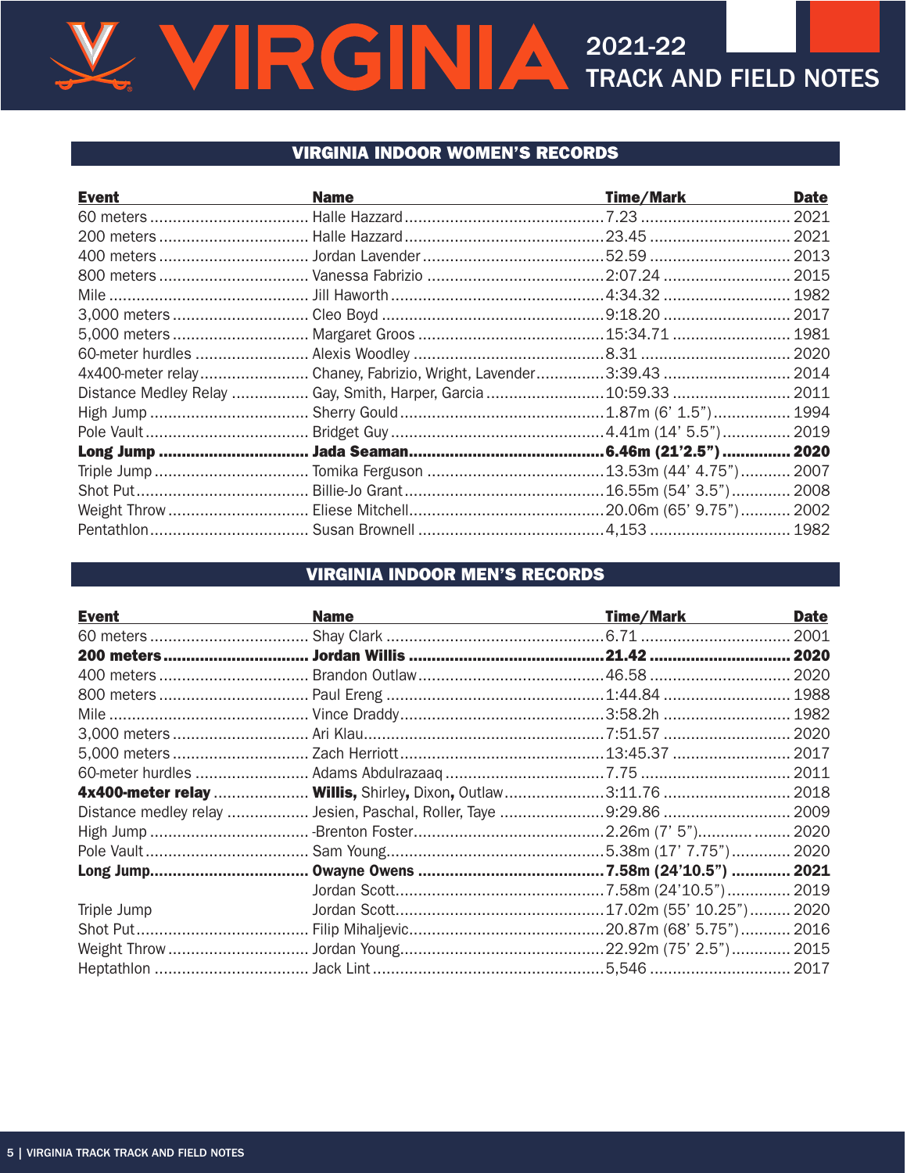# V VIRGINIA 2021-22

## **VIRGINIA INDOOR WOMEN'S RECORDS**

| <b>Event</b> | <b>Name</b>                                                       | <b>Time/Mark</b> | <b>Date</b> |
|--------------|-------------------------------------------------------------------|------------------|-------------|
|              |                                                                   |                  |             |
|              |                                                                   |                  |             |
|              |                                                                   |                  |             |
|              |                                                                   |                  |             |
|              |                                                                   |                  |             |
|              |                                                                   |                  |             |
|              |                                                                   |                  |             |
|              |                                                                   |                  |             |
|              |                                                                   |                  |             |
|              | Distance Medley Relay  Gay, Smith, Harper, Garcia  10:59.33  2011 |                  |             |
|              |                                                                   |                  |             |
|              |                                                                   |                  |             |
|              |                                                                   |                  |             |
|              |                                                                   |                  |             |
|              |                                                                   |                  |             |
|              |                                                                   |                  |             |
|              |                                                                   |                  |             |

# **VIRGINIA INDOOR MEN'S RECORDS**

| <b>Event</b> | <b>Name</b>                                                        | Time/Mark | <b>Date</b> |
|--------------|--------------------------------------------------------------------|-----------|-------------|
|              |                                                                    |           |             |
|              |                                                                    |           |             |
|              |                                                                    |           |             |
|              |                                                                    |           |             |
|              |                                                                    |           |             |
|              |                                                                    |           |             |
|              |                                                                    |           |             |
|              |                                                                    |           |             |
|              | 4x400-meter relay  Willis, Shirley, Dixon, Outlaw 3:11.76  2018    |           |             |
|              | Distance medley relay  Jesien, Paschal, Roller, Taye 9:29.86  2009 |           |             |
|              |                                                                    |           |             |
|              |                                                                    |           |             |
|              |                                                                    |           |             |
|              |                                                                    |           |             |
| Triple Jump  |                                                                    |           |             |
|              |                                                                    |           |             |
|              |                                                                    |           |             |
|              |                                                                    |           |             |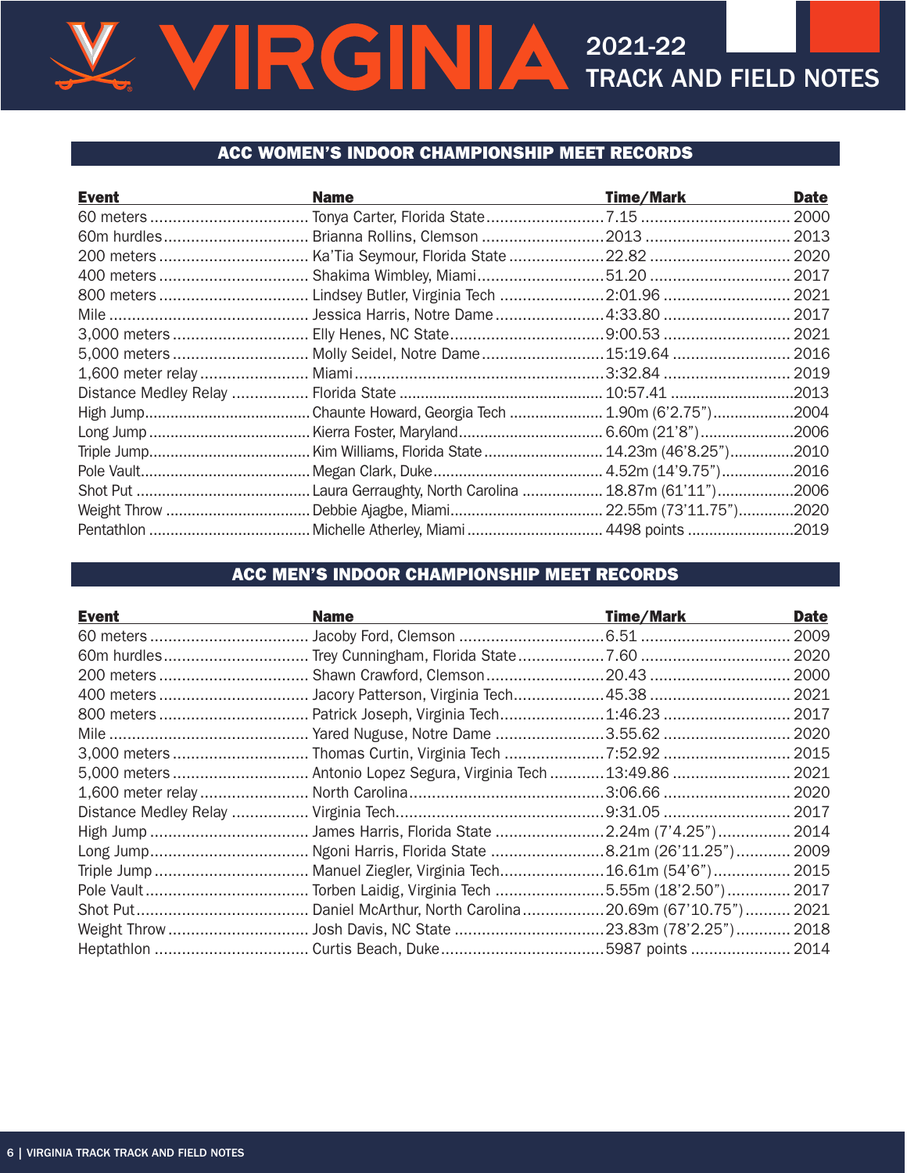### ACC WOMEN'S INDOOR CHAMPIONSHIP MEET RECORDS

| <b>Event</b>          | <b>Name</b>                                           | <b>Time/Mark</b>      | <b>Date</b> |
|-----------------------|-------------------------------------------------------|-----------------------|-------------|
|                       |                                                       |                       | 2000        |
| 60m hurdles           | Brianna Rollins, Clemson 2013                         |                       | 2013        |
|                       |                                                       |                       | 2020        |
|                       |                                                       |                       | 2017        |
|                       |                                                       |                       | 2021        |
|                       |                                                       |                       | . 2017      |
|                       |                                                       |                       |             |
|                       |                                                       |                       |             |
|                       |                                                       |                       |             |
| Distance Medley Relay |                                                       |                       |             |
|                       | Chaunte Howard, Georgia Tech  1.90m (6'2.75")2004     |                       |             |
|                       | Kierra Foster, Maryland                               | 6.60m (21'8")2006     |             |
|                       | Kim Williams, Florida State                           | 14.23m (46'8.25")2010 |             |
|                       |                                                       |                       |             |
|                       | Laura Gerraughty, North Carolina  18.87m (61'11")2006 |                       |             |
|                       |                                                       |                       |             |
|                       |                                                       |                       |             |

## ACC MEN'S INDOOR CHAMPIONSHIP MEET RECORDS

| <b>Event</b> | <b>Name</b>                                                       | <b>Time/Mark</b> | <b>Date</b> |
|--------------|-------------------------------------------------------------------|------------------|-------------|
|              |                                                                   |                  | 2009        |
|              |                                                                   |                  | 2020        |
|              | 200 meters  Shawn Crawford, Clemson 20.43                         |                  | 2000        |
|              |                                                                   |                  | . 2021      |
|              |                                                                   |                  | 2017        |
|              |                                                                   |                  | . 2020      |
|              |                                                                   |                  |             |
|              | 5,000 meters  Antonio Lopez Segura, Virginia Tech  13:49.86  2021 |                  |             |
|              |                                                                   |                  |             |
|              |                                                                   |                  |             |
|              |                                                                   |                  |             |
|              |                                                                   |                  |             |
|              |                                                                   |                  |             |
|              |                                                                   |                  |             |
|              |                                                                   |                  |             |
|              |                                                                   |                  |             |
|              |                                                                   |                  |             |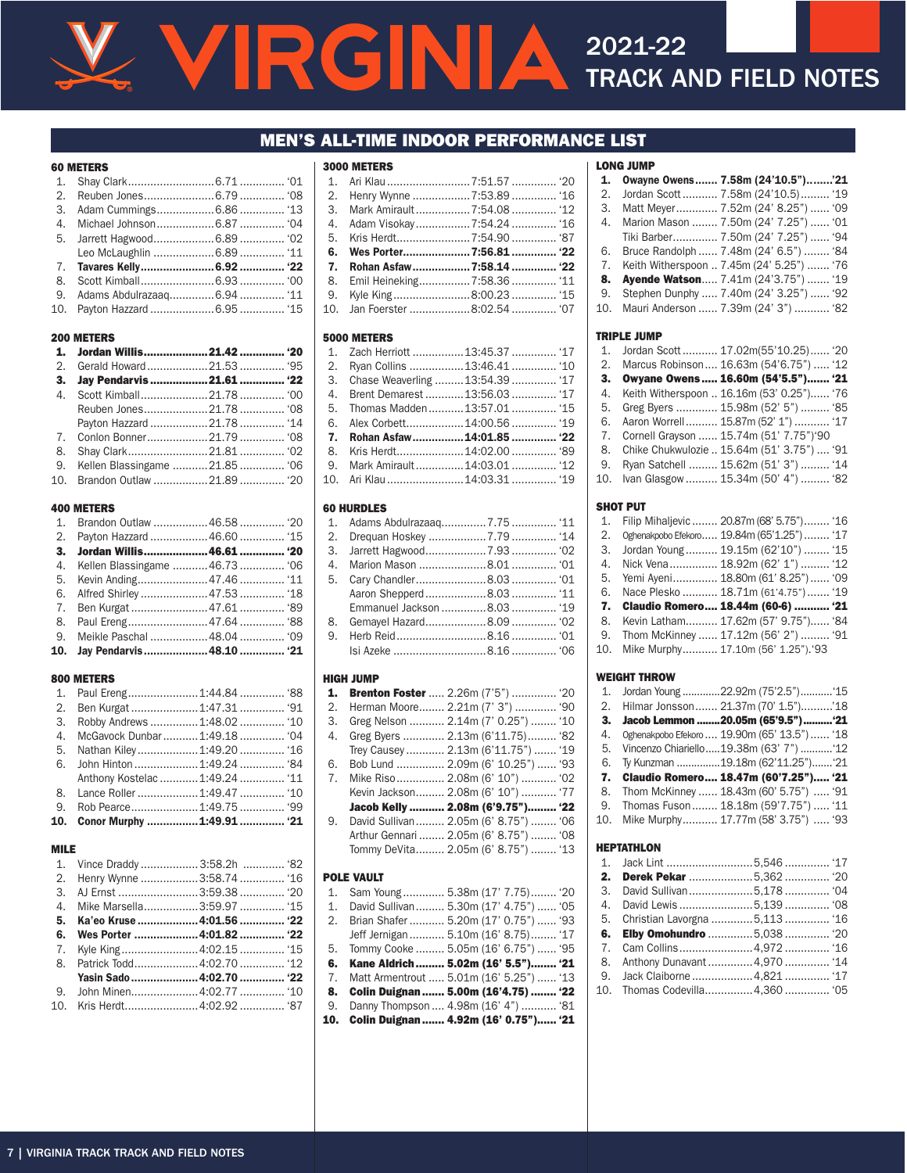### MEN'S ALL-TIME INDOOR PERFORMANCE LIST

#### 60 METERS

| 9. Adams Abdulrazaag 6.94  '11 |  |
|--------------------------------|--|
|                                |  |

#### 200 METERS

|    | 3. Jay Pendarvis  21.61  '22     |  |
|----|----------------------------------|--|
|    |                                  |  |
|    |                                  |  |
|    | Payton Hazzard 21.78  '14        |  |
|    |                                  |  |
| 8. |                                  |  |
|    | 9. Kellen Blassingame 21.85  '06 |  |
|    | 10. Brandon Outlaw 21.89  '20    |  |

#### 400 METERS

| 1. Brandon Outlaw 46.58  '20     |  |
|----------------------------------|--|
|                                  |  |
|                                  |  |
| 4. Kellen Blassingame 46.73  '06 |  |
|                                  |  |
|                                  |  |
|                                  |  |
|                                  |  |
|                                  |  |
| 10. Jav Pendarvis 48.10  '21     |  |
|                                  |  |

#### 800 METERS

| 3. |                               |                                |  |
|----|-------------------------------|--------------------------------|--|
|    |                               |                                |  |
|    |                               |                                |  |
|    |                               |                                |  |
|    |                               | Anthony Kostelac  1:49.24  '11 |  |
|    | 8. Lance Roller  1:49.47  '10 |                                |  |
|    |                               |                                |  |
|    | 10. Conor Murphy 1:49.91  '21 |                                |  |

#### MILE

|             | 1. Vince Draddy  3:58.2h  '82 |  |
|-------------|-------------------------------|--|
|             | 2. Henry Wynne 3:58.74  '16   |  |
|             |                               |  |
| $4_{\cdot}$ | Mike Marsella3:59.97  '15     |  |
| 5.          | Ka'eo Kruse 4:01.56  '22      |  |
| 6.          | Wes Porter 4:01.82  '22       |  |
| 7.          |                               |  |
| 8.          |                               |  |
|             | Yasin Sado  4:02.70  '22      |  |
|             |                               |  |
|             | 10. Kris Herdt4:02.92 '87     |  |
|             |                               |  |

| <b>3000 METERS</b>                 |  |
|------------------------------------|--|
| 1. Ari Klau        7:51.57     '20 |  |
| 2. Henry Wynne 7:53.89  '16        |  |
|                                    |  |
|                                    |  |
|                                    |  |
| 6. Wes Porter7:56.81 '22           |  |
|                                    |  |
| 8. Emil Heineking7:58.36  '11      |  |
| 9. Kyle King8:00.23 '15            |  |
|                                    |  |

#### 5000 METERS

| 1. Zach Herriott 13:45.37  '17        |  |
|---------------------------------------|--|
| 2. Ryan Collins 13:46.41  '10         |  |
| 3. Chase Weaverling 13:54.39  '17     |  |
| 4. Brent Demarest  13:56.03  '17      |  |
| 5. Thomas Madden13:57.01 '15          |  |
|                                       |  |
| 7. Rohan Asfaw14:01.85 '22            |  |
|                                       |  |
|                                       |  |
| 10. Ari Klau         14:03.31      19 |  |

#### 60 HURDLES

|    | Emmanuel Jackson 8.03  '19 |  |
|----|----------------------------|--|
| 8. |                            |  |
|    |                            |  |
|    |                            |  |

#### HIGH JUMP

| 1.                    | <b>Brenton Foster </b> 2.26m (7'5")  '20 |
|-----------------------|------------------------------------------|
| $\mathcal{D}_{\cdot}$ | Herman Moore 2.21m (7' 3")  '90          |
| 3.                    | Greg Nelson  2.14m (7' 0.25")  '10       |
| 4.                    | Greg Byers  2.13m (6'11.75) '82          |
|                       | Trey Causey 2.13m (6'11.75") '19         |
| 6.                    | Bob Lund  2.09m (6' 10.25")  '93         |
| 7 <sub>1</sub>        | Mike Riso 2.08m (6' 10")  '02            |
|                       | Kevin Jackson 2.08m (6' 10")  '77        |
|                       | Jacob Kelly  2.08m (6'9.75") '22         |
| 9.                    | David Sullivan 2.05m (6' 8.75")  '06     |
|                       | Arthur Gennari  2.05m (6' 8.75")  '08    |
|                       |                                          |
|                       | Tommy DeVita 2.05m (6' 8.75")  '13       |
|                       |                                          |

#### POLE VAULT

|     | Sam Young 5.38m (17' 7.75) '20             |  |  |
|-----|--------------------------------------------|--|--|
| 1.  | David Sullivan 5.30m (17' 4.75")  '05      |  |  |
| 2.  | Brian Shafer  5.20m (17' 0.75")  '93       |  |  |
|     | Jeff Jernigan 5.10m (16' 8.75) '17         |  |  |
| 5.  | Tommy Cooke  5.05m (16' 6.75")  '95        |  |  |
| 6.  | Kane Aldrich 5.02m (16' 5.5") '21          |  |  |
|     | 7. Matt Armentrout  5.01m (16' 5.25")  '13 |  |  |
| 8.  | Colin Duignan  5.00m (16'4.75)  '22        |  |  |
|     |                                            |  |  |
| 9.  | Danny Thompson  4.98m (16' 4")  '81        |  |  |
| 10. | Colin Duignan  4.92m (16' 0.75") '21       |  |  |
|     |                                            |  |  |

|     | <b>LONG JUMP</b>                          |  |
|-----|-------------------------------------------|--|
| 1.  | Owayne Owens 7.58m (24'10.5")'21          |  |
| 2.  | Jordan Scott 7.58m (24'10.5) '19          |  |
| 3.  | Matt Meyer 7.52m (24' 8.25")  '09         |  |
| 4.  | Marion Mason  7.50m (24' 7.25")  '01      |  |
|     | Tiki Barber 7.50m (24' 7.25")  '94        |  |
| 6.  | Bruce Randolph  7.48m (24' 6.5")  '84     |  |
| 7.  | Keith Witherspoon  7.45m (24' 5.25")  '76 |  |
| 8.  | Ayende Watson 7.41m (24'3.75")  '19       |  |
| 9.  | Stephen Dunphy  7.40m (24' 3.25")  '92    |  |
| 10. | Mauri Anderson  7.39m (24' 3")  '82       |  |

#### TRIPLE JUMP

| $1_{-}$ | Jordan Scott 17.02m(55'10.25) '20          |
|---------|--------------------------------------------|
| 2.      | Marcus Robinson 16.63m (54'6.75") '12      |
| 3.      | Owyane Owens  16.60m (54'5.5") '21         |
| 4.      | Keith Witherspoon  16.16m (53' 0.25") '76  |
| 5.      | Greg Byers  15.98m (52' 5")  '85           |
| 6.      | Aaron Worrell 15.87m (52' 1")  '17         |
| 7.      | Cornell Grayson  15.74m (51' 7.75")'90     |
| 8.      | Chike Chukwulozie  15.64m (51' 3.75")  '91 |
| 9.      | Ryan Satchell  15.62m (51' 3")  '14        |
| 10.     | Ivan Glasgow  15.34m (50' 4")  '82         |
|         |                                            |

#### SHOT PUT

| 1. | Filip Mihalievic  20.87m (68' 5.75") '16   |
|----|--------------------------------------------|
| 2. | Oghenakpobo Efekoro 19.84m (65'1.25")  '17 |
| 3. | Jordan Young 19.15m (62'10")  '15          |
|    | 4. Nick Vena 18.92m (62' 1")  '12          |
| 5. | Yemi Ayeni 18.80m (61' 8.25") '09          |
| 6. | Nace Plesko  18.71m (61'4.75")  '19        |
|    | 7. Claudio Romero 18.44m (60-6)  '21       |
| 8. | Kevin Latham 17.62m (57' 9.75") '84        |
|    | 9. Thom McKinney  17.12m (56' 2")  '91     |
|    | 10. Mike Murphy 17.10m (56' 1.25").'93     |
|    |                                            |

#### WEIGHT THROW

|             | 1. Jordan Young 22.92m (75'2.5")  '15        |  |
|-------------|----------------------------------------------|--|
|             | 2. Hilmar Jonsson 21.37m (70' 1.5")'18       |  |
|             | 3. Jacob Lemmon 20.05m (65'9.5")  '21        |  |
| $4_{\cdot}$ | Oghenakpobo Efekoro  19.90m (65' 13.5")  '18 |  |
|             | 5. Vincenzo Chiariello19.38m (63' 7")  '12   |  |
| 6.          | Ty Kunzman 19.18m (62'11.25") '21            |  |
|             | 7. Claudio Romero 18.47m (60'7.25") '21      |  |
| 8.          | Thom McKinney  18.43m (60' 5.75")  '91       |  |
|             | 9. Thomas Fuson 18.18m (59'7.75")  '11       |  |
|             | 10. Mike Murphy 17.77m (58' 3.75")  '93      |  |
|             |                                              |  |

#### HEPTATHLON

| 1. Jack Lint 5,546                  |  |
|-------------------------------------|--|
| <b>2. Derek Pekar 5,362 </b> '20    |  |
| 3. David Sullivan 5,178  '04        |  |
|                                     |  |
| 5. Christian Lavorgna 5,113  '16    |  |
|                                     |  |
| <b>6. Elby Omohundro 5,038  '20</b> |  |
| 7. Cam Collins4,972 '16             |  |
| 8. Anthony Dunavant  4,970  '14     |  |
| 9. Jack Claiborne 4,821  '17        |  |
| 10. Thomas Codevilla4,360 '05       |  |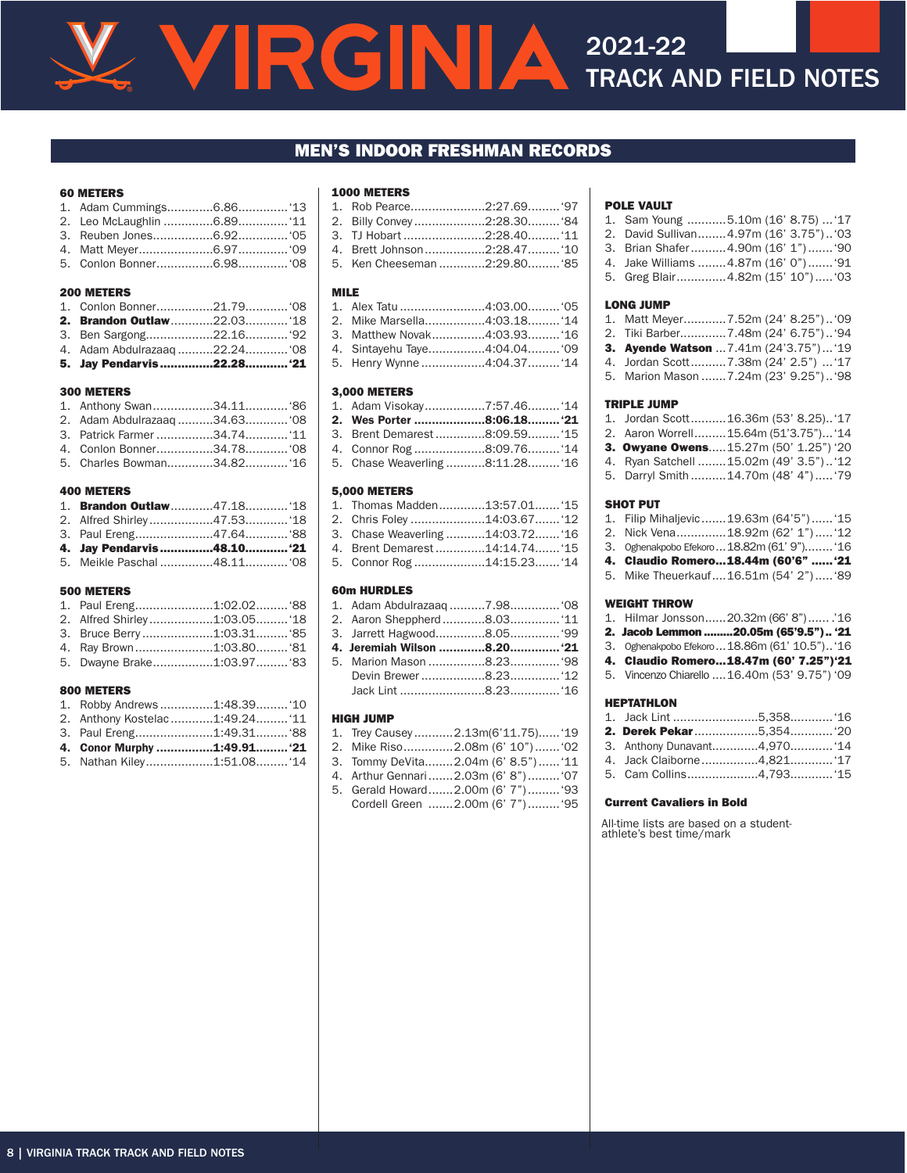# **ENIA** 2021-22 TRACK AND FIELD NOTES

#### MEN'S INDOOR FRESHMAN RECORDS

#### 60 METERS

#### 200 METERS

| <b>2. Brandon Outlaw22.0318</b> |  |
|---------------------------------|--|
|                                 |  |
|                                 |  |
| 5. Jay Pendarvis22.28 '21       |  |

#### 300 METERS

#### 400 METERS

| 1. Brandon Outlaw47.1818  |  |
|---------------------------|--|
|                           |  |
|                           |  |
| 4. Jay Pendarvis48.10 '21 |  |
|                           |  |

#### 500 METERS

| 4. Ray Brown1:03.80 '81 |  |
|-------------------------|--|

5. Dwayne Brake.................1:03.97.........'83

#### 800 METERS

| 1. Robby Andrews1:48.39 '10    |  |
|--------------------------------|--|
| 2. Anthony Kostelac1:49.24 '11 |  |
| 3. Paul Ereng1:49.31 '88       |  |
| 4. Conor Murphy 1:49.91 '21    |  |
| 5. Nathan Kiley1:51.08 '14     |  |

#### 1000 METERS

| 1. Rob Pearce2:27.69 '97     |  |
|------------------------------|--|
| 2. Billy Convey2:28.30 '84   |  |
| 3.   TJ Hobart 2:28.40 '11   |  |
| 4. Brett Johnson2:28.47 '10  |  |
| 5. Ken Cheeseman 2:29.80 '85 |  |

#### MILE

| 1. Alex Tatu ……………………4:03.00………'05 |  |
|------------------------------------|--|
| 2. Mike Marsella4:03.18 '14        |  |
| 3. Matthew Novak4:03.93 '16        |  |
| 4. Sintayehu Taye4:04.04 '09       |  |
| 5. Henry Wynne 4:04.37 '14         |  |

#### 3,000 METERS

| 2. Wes Porter 8:06.18 '21       |  |
|---------------------------------|--|
| 3. Brent Demarest 8:09.59 '15   |  |
| 4. Connor Rog 8:09.76 '14       |  |
| 5. Chase Weaverling 8:11.28 '16 |  |

#### 5,000 METERS

| 1. Thomas Madden13:57.01 '15     |  |
|----------------------------------|--|
| 2. Chris Foley 14:03.67 '12      |  |
| 3. Chase Weaverling 14:03.72 '16 |  |
| 4. Brent Demarest 14:14.74 '15   |  |
| 5. Connor Rog 14:15.23 '14       |  |
|                                  |  |

#### 60m HURDLES

| 4. Jeremiah Wilson 8.20 '21 |  |
|-----------------------------|--|
|                             |  |

# Jack Lint ........................8.23..............'16

- HIGH JUMP
- 1. Trey Causey ...........2.13m(6'11.75)......'19 2. Mike Riso..............2.08m (6' 10").......'02
- 3. Tommy DeVita........2.04m (6' 8.5")......'11
- 4. Arthur Gennari.......2.03m (6' 8").........'07
- 5. Gerald Howard.......2.00m (6' 7").........'93 Cordell Green .......2.00m (6' 7").........'95

#### POLE VAULT

| 1. Sam Young 5.10m (16' 8.75)  '17     |  |  |
|----------------------------------------|--|--|
| 2. David Sullivan4.97m (16' 3.75") '03 |  |  |
| 3. Brian Shafer4.90m (16' 1") '90      |  |  |
| 4. Jake Williams  4.87m (16' 0")  '91  |  |  |
| 5. Greg Blair4.82m (15' 10") '03       |  |  |

#### LONG JUMP

|  | 1. Matt Meyer7.52m (24' 8.25")'09             |
|--|-----------------------------------------------|
|  | 2. Tiki Barber7.48m (24' 6.75") '94           |
|  | <b>3. Avende Watson</b> 7.41m (24'3.75")  '19 |
|  | 4. Jordan Scott7.38m (24' 2.5")  '17          |
|  | 5. Marion Mason  7.24m (23' 9.25") '98        |

#### TRIPLE JUMP

|  | 1. Jordan Scott16.36m (53' 8.25) '17    |
|--|-----------------------------------------|
|  | 2. Aaron Worrell15.64m (51'3.75") '14   |
|  | 3. Owyane Owens15.27m (50' 1.25") '20   |
|  | 4. Ryan Satchell  15.02m (49' 3.5") '12 |
|  | 5. Darryl Smith  14.70m (48' 4")  '79   |

#### SHOT PUT

| 1. Filip Mihaljevic 19.63m (64'5") '15      |
|---------------------------------------------|
| 2. Nick Vena18.92m (62' 1") '12             |
| 3. Oghenakpobo Efekoro  18.82m (61' 9") '16 |
| 4. Claudio Romero18.44m (60'6"  '21         |
| 5. Mike Theuerkauf16.51m (54' 2") '89       |
|                                             |

#### WEIGHT THROW

| 1. Hilmar Jonsson20.32m (66'8")'16             |
|------------------------------------------------|
| 2. Jacob Lemmon 20.05m (65'9.5") '21           |
| 3. Oghenakpobo Efekoro  18.86m (61' 10.5") '16 |
| 4. Claudio Romero18.47m (60' 7.25")'21         |
| 5. Vincenzo Chiarello  16.40m (53' 9.75") '09  |

#### HEPTATHLON

|  | 3. Anthony Dunavant4,970 '14<br>5. Cam Collins4,793 '15 |
|--|---------------------------------------------------------|

#### Current Cavaliers in Bold

All-time lists are based on a student-athlete's best time/mark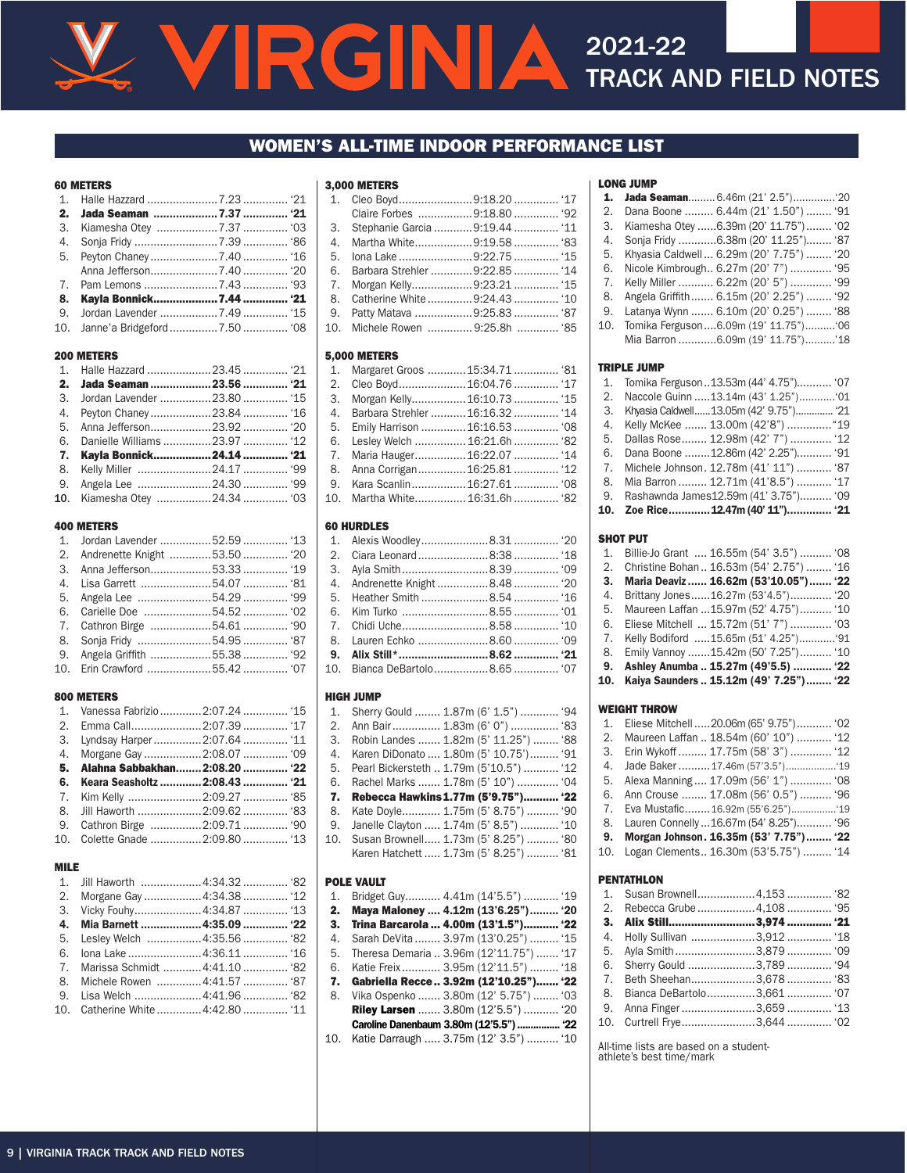### WOMEN'S ALL-TIME INDOOR PERFORMANCE LIST

#### 60 METERS

| 10. Janne'a Bridgeford 7.50  '08 |  |
|----------------------------------|--|

#### 200 METERS

| 2. Jada Seaman 23.56  '21       |  |
|---------------------------------|--|
| 3. Jordan Lavender 23.80  '15   |  |
|                                 |  |
|                                 |  |
| 6. Danielle Williams 23.97  '12 |  |
| 7. Kayla Bonnick24.14  '21      |  |
| 8. Kelly Miller 24.17  '99      |  |
|                                 |  |
|                                 |  |

#### 400 METERS

| 1. Jordan Lavender 52.59  '13   |  |
|---------------------------------|--|
| 2. Andrenette Knight 53.50  '20 |  |
|                                 |  |
|                                 |  |
|                                 |  |
|                                 |  |
|                                 |  |
|                                 |  |
|                                 |  |
|                                 |  |
|                                 |  |

#### 800 METERS

| 1. Vanessa Fabrizio  2:07.24  '15 |  |
|-----------------------------------|--|
|                                   |  |
|                                   |  |
|                                   |  |
| 5. Alahna Sabbakhan 2:08.20  '22  |  |
|                                   |  |
| 6. Keara Seasholtz 2:08.43  '21   |  |
| 7. Kim Kelly 2:09.27  '85         |  |
| 8. Jill Haworth 2:09.62  '83      |  |
| 9. Cathron Birge 2:09.71  '90     |  |

#### MILE

| 1. Jill Haworth 4:34.32  '82      |  |
|-----------------------------------|--|
|                                   |  |
| 3. Vicky Fouhy4:34.87  '13        |  |
| 4. Mia Barnett 4:35.09  '22       |  |
| 5. Lesley Welch 4:35.56  '82      |  |
|                                   |  |
| 7. Marissa Schmidt 4:41.10  '82   |  |
| 8. Michele Rowen 4:41.57  '87     |  |
|                                   |  |
| 10. Catherine White  4:42.80  '11 |  |

#### 3,000 METERS

|  | Claire Forbes 9:18.80  '92        |
|--|-----------------------------------|
|  | 3. Stephanie Garcia  9:19.44  '11 |
|  | 4. Martha White9:19.58 '83        |
|  |                                   |
|  | 6. Barbara Strehler  9:22.85  '14 |
|  |                                   |
|  | 8. Catherine White  9:24.43  '10  |
|  | 9. Patty Matava 9:25.83  '87      |
|  | 10. Michele Rowen 9:25.8h  '85    |

#### 5,000 METERS

|  | 1. Margaret Groos  15:34.71  '81   |  |
|--|------------------------------------|--|
|  |                                    |  |
|  |                                    |  |
|  |                                    |  |
|  | 4. Barbara Strehler  16:16.32  '14 |  |
|  | 5. Emily Harrison  16:16.53  '08   |  |
|  | 6. Lesley Welch  16:21.6h  '82     |  |
|  | 7. Maria Hauger16:22.07  '14       |  |
|  |                                    |  |
|  |                                    |  |
|  | 10. Martha White 16:31.6h  '82     |  |

#### 60 HURDLES

#### HIGH JUMP

| Sherry Gould  1.87m (6' 1.5")  '94<br>1.     |
|----------------------------------------------|
| 2. Ann Bair 1.83m (6' 0")  '83               |
| Robin Landes  1.82m (5' 11.25")  '88<br>3.   |
| Karen DiDonato  1.80m (5' 10.75')  '91<br>4. |
| Pearl Bickersteth  1.79m (5'10.5")  '12      |
| Rachel Marks  1.78m (5' 10")  '04<br>6.      |
| 7. Rebecca Hawkins 1.77m (5'9.75") '22       |
| Kate Doyle 1.75m (5' 8.75")  '90<br>8.       |
| 9. Janelle Clayton  1.74m (5' 8.5")  '10     |
| 10. Susan Brownell 1.73m (5' 8.25")  '80     |
| Karen Hatchett  1.73m (5' 8.25")  '81        |
| 5.                                           |

#### POLE VAULT

| 1.  | Bridget Guy 4.41m (14'5.5")  '19          |
|-----|-------------------------------------------|
| 2.  | Maya Maloney  4.12m (13'6.25") '20        |
| 3.  | Trina Barcarola  4.00m (13'1.5") '22      |
| 4.  | Sarah DeVita  3.97m (13'0.25")  '15       |
| 5.  | Theresa Demaria  3.96m (12'11.75")  '17   |
| 6.  | Katie Freix  3.95m (12'11.5")  '18        |
|     |                                           |
| 7.  | Gabriella Recce 3.92m (12'10.25") '22     |
|     | 8. Vika Ospenko  3.80m (12' 5.75")  '03   |
|     | <b>Riley Larsen </b> 3.80m (12'5.5")  '20 |
|     | Caroline Danenbaum 3.80m (12'5.5")  '22   |
| 10. | Katie Darraugh  3.75m (12' 3.5")  '10     |
|     |                                           |

|          | <b>LONG JUMP</b>                                                         |
|----------|--------------------------------------------------------------------------|
| 1.       |                                                                          |
| 2.       | Dana Boone  6.44m (21' 1.50")  '91                                       |
| 3.       | Kiamesha Otey 6.39m (20' 11.75")  '02                                    |
| 4.       | Sonja Fridy 6.38m (20' 11.25") '87                                       |
| 5.       | Khyasia Caldwell  6.29m (20' 7.75")  '20                                 |
| 6.       | Nicole Kimbrough 6.27m (20' 7")  '95                                     |
| 7.       | Kelly Miller  6.22m (20' 5")  '99                                        |
| 8.       | Angela Griffith 6.15m (20' 2.25")  '92                                   |
| 9.       | Latanya Wynn  6.10m (20' 0.25")  '88                                     |
| 10.      | Tomika Ferguson6.09m (19' 11.75")'06                                     |
|          | Mia Barron 6.09m (19' 11.75")'18                                         |
|          | <b>TRIPLE JUMP</b>                                                       |
| 1.       | Tomika Ferguson13.53m (44' 4.75") '07                                    |
| 2.       | Naccole Guinn 13.14m (43' 1.25")'01                                      |
| 3.       | Khyasia Caldwell13.05m (42' 9.75") '21                                   |
| 4.       | Kelly McKee  13.00m (42'8")  "19                                         |
| 5.       | Dallas Rose 12.98m (42' 7")  '12                                         |
| 6.       | Dana Boone 12.86m (42' 2.25") '91                                        |
| 7.       | Michele Johnson. 12.78m (41' 11")  '87                                   |
| 8.       | Mia Barron  12.71m (41'8.5")  '17                                        |
| 9.       | Rashawnda James12.59m (41' 3.75") '09                                    |
| 10.      | Zoe Rice12.47m (40' 11") '21                                             |
|          | <b>SHOT PUT</b>                                                          |
| 1.       | Billie-Jo Grant  16.55m (54' 3.5")  '08                                  |
| 2.       | Christine Bohan 16.53m (54' 2.75")  '16                                  |
| 3.       | Maria Deaviz 16.62m (53'10.05") '22                                      |
| 4.       | Brittany Jones16.27m (53'4.5") '20                                       |
| 5.       | Maureen Laffan 15.97m (52' 4.75") '10                                    |
| 6.       | Eliese Mitchell  15.72m (51' 7")  '03                                    |
| 7.       | Kelly Bodiford 15.65m (51' 4.25")'91                                     |
| 8.       | Emily Vannoy 15.42m (50' 7.25")  '10                                     |
| 9.       | Ashley Anumba  15.27m (49'5.5)  '22                                      |
| 10.      | Kaiya Saunders  15.12m (49' 7.25") '22                                   |
|          | <b>WEIGHT THROW</b>                                                      |
| 1.       | Eliese Mitchell  20.06m (65' 9.75")  '02                                 |
| 2.       | Maureen Laffan  18.54m (60' 10")  '12                                    |
| 3.       | Erin Wykoff  17.75m (58' 3")  '12                                        |
| 4.       | Jade Baker  17.46m (57'3.5") 19                                          |
| 5.       | Alexa Manning  17.09m (56' 1")  '08                                      |
| 6.<br>7. | Ann Crouse  17.08m (56' 0.5")  '96<br>Eva Mustafic 16.92m (55'6.25") '19 |
|          |                                                                          |

#### 9. Morgan Johnson. 16.35m (53' 7.75")........ '22 10. Logan Clements.. 16.30m (53'5.75") ......... '14

#### PENTATHLON

| 1. Susan Brownell4,153 '82   |  |
|------------------------------|--|
|                              |  |
| 3. Alix Still3,974  '21      |  |
| 4. Holly Sullivan 3,912  '18 |  |
|                              |  |
|                              |  |
| 7. Beth Sheehan3,678 '83     |  |
|                              |  |
| 9. Anna Finger 3,659  '13    |  |
|                              |  |
|                              |  |

8. Lauren Connelly ...16.67m (54' 8.25'')........... '96

All-time lists are based on a student-athlete's best time/mark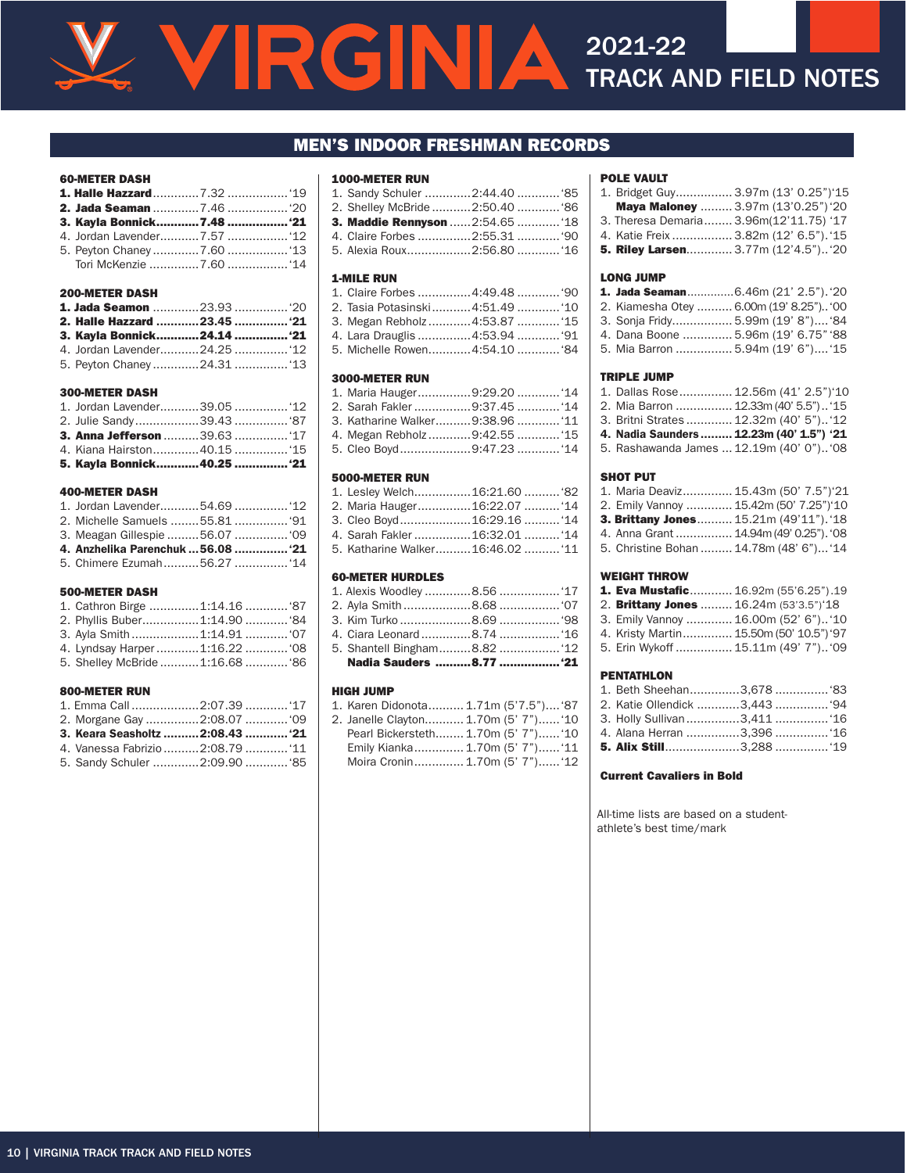#### MEN'S INDOOR FRESHMAN RECORDS

#### 60-METER DASH

| 3. Kayla Bonnick7.48  '21 |  |
|---------------------------|--|
|                           |  |
|                           |  |
|                           |  |

#### 200-METER DASH

| 2. Halle Hazzard 23.45  '21 |  |
|-----------------------------|--|
| 3. Kayla Bonnick24.14  '21  |  |
|                             |  |
|                             |  |

#### 300-METER DASH

| <b>3. Anna Jefferson </b> 39.63  '17 |  |
|--------------------------------------|--|
|                                      |  |
| 5. Kayla Bonnick 40.25  '21          |  |

#### 400-METER DASH

| 2. Michelle Samuels 55.81  '91     |  |
|------------------------------------|--|
|                                    |  |
| 4. Anzhelika Parenchuk  56.08  '21 |  |
|                                    |  |

#### 500-METER DASH

| 2. Phyllis Buber1:14.90  '84    |  |
|---------------------------------|--|
|                                 |  |
|                                 |  |
| 5. Shelley McBride 1:16.68  '86 |  |

#### 800-METER RUN

| 1. Emma Call 2:07.39  '17         |  |
|-----------------------------------|--|
|                                   |  |
| 3. Keara Seasholtz  2:08.43  '21  |  |
| 4. Vanessa Fabrizio  2:08.79  '11 |  |
| 5. Sandy Schuler 2:09.90  '85     |  |

#### 1000-METER RUN

| 1. Sandy Schuler 2:44.40  '85         |  |
|---------------------------------------|--|
| 2. Shelley McBride 2:50.40  '86       |  |
| <b>3. Maddie Rennyson</b> 2:54.65 "18 |  |
| 4. Claire Forbes 2:55.31  '90         |  |
| 5. Alexia Roux2:56.80  '16            |  |

#### 1-MILE RUN

| 1. Claire Forbes 4:49.48  '90   |  |
|---------------------------------|--|
| 2. Tasia Potasinski4:51.49  '10 |  |
| 3. Megan Rebholz 4:53.87  '15   |  |
| 4. Lara Drauglis 4:53.94  '91   |  |
| 5. Michelle Rowen4:54.10  '84   |  |

#### 3000-METER RUN

| 1. Maria Hauger9:29.20  '14     |  |
|---------------------------------|--|
| 2. Sarah Fakler 9:37.45  '14    |  |
| 3. Katharine Walker9:38.96  '11 |  |
| 4. Megan Rebholz9:42.5515       |  |
| 5. Cleo Boyd9:47.23  '14        |  |

#### 5000-METER RUN

| 1. Lesley Welch16:21.60  '82     |  |
|----------------------------------|--|
| 2. Maria Hauger16:22.07 '14      |  |
| 3. Cleo Boyd16:29.16 '14         |  |
| 4. Sarah Fakler 16:32.01  '14    |  |
| 5. Katharine Walker16:46.02  '11 |  |

#### 60-METER HURDLES

| Nadia Sauders 8.77  '21      |  |
|------------------------------|--|
| 5. Shantell Bingham8.82  '12 |  |
|                              |  |
|                              |  |
|                              |  |
|                              |  |

#### HIGH JUMP

| 1. Karen Didonota 1.71m (5'7.5") '87 |                                |
|--------------------------------------|--------------------------------|
| 2. Janelle Clayton 1.70m (5' 7") '10 |                                |
| Pearl Bickersteth 1.70m (5' 7") '10  |                                |
| Emily Kianka 1.70m (5' 7") '11       |                                |
|                                      | Moira Cronin 1.70m (5' 7") '12 |

#### POLE VAULT

| 1. Bridget Guy 3.97m (13' 0.25") 15        |  |
|--------------------------------------------|--|
| Maya Maloney  3.97m (13'0.25") '20         |  |
| 3. Theresa Demaria 3.96m(12'11.75) '17     |  |
| 4. Katie Freix  3.82m (12' 6.5"). '15      |  |
| <b>5. Riley Larsen</b> 3.77m (12'4.5") '20 |  |

#### LONG JUMP

| <b>1. Jada Seaman</b> 6.46m (21' 2.5"). '20 |  |
|---------------------------------------------|--|
| 2. Kiamesha Otey  6.00m (19' 8.25") '00     |  |
| 3. Sonja Fridy 5.99m (19' 8") '84           |  |
| 4. Dana Boone  5.96m (19' 6.75" '88         |  |
| 5. Mia Barron  5.94m (19' 6") '15           |  |
|                                             |  |

#### TRIPLE JUMP

| 1. Dallas Rose 12.56m (41' 2.5")'10      |                                          |
|------------------------------------------|------------------------------------------|
| 2. Mia Barron  12.33m (40' 5.5") '15     |                                          |
| 3. Britni Strates  12.32m (40' 5") '12   |                                          |
| 4. Nadia Saunders  12.23m (40' 1.5") '21 |                                          |
|                                          | 5. Rashawanda James  12.19m (40' 0") '08 |

#### SHOT PUT

| 1. Maria Deaviz 15.43m (50' 7.5")'21    |  |
|-----------------------------------------|--|
| 2. Emily Vannoy  15.42m (50' 7.25")'10  |  |
| 3. Brittany Jones 15.21m (49'11"). '18  |  |
| 4. Anna Grant  14.94m (49' 0.25"). '08  |  |
| 5. Christine Bohan  14.78m (48' 6") '14 |  |
|                                         |  |

#### WEIGHT THROW

| 1. Eva Mustafic 16.92m (55'6.25").19    |  |
|-----------------------------------------|--|
| 2. Brittany Jones  16.24m (53'3.5")'18  |  |
| 3. Emily Vannoy  16.00m (52' 6") '10    |  |
| 4. Kristy Martin 15.50m (50' 10.5") '97 |  |
| 5. Erin Wykoff  15.11m (49' 7") '09     |  |

#### PENTATHLON

#### Current Cavaliers in Bold

All-time lists are based on a studentathlete's best time/mark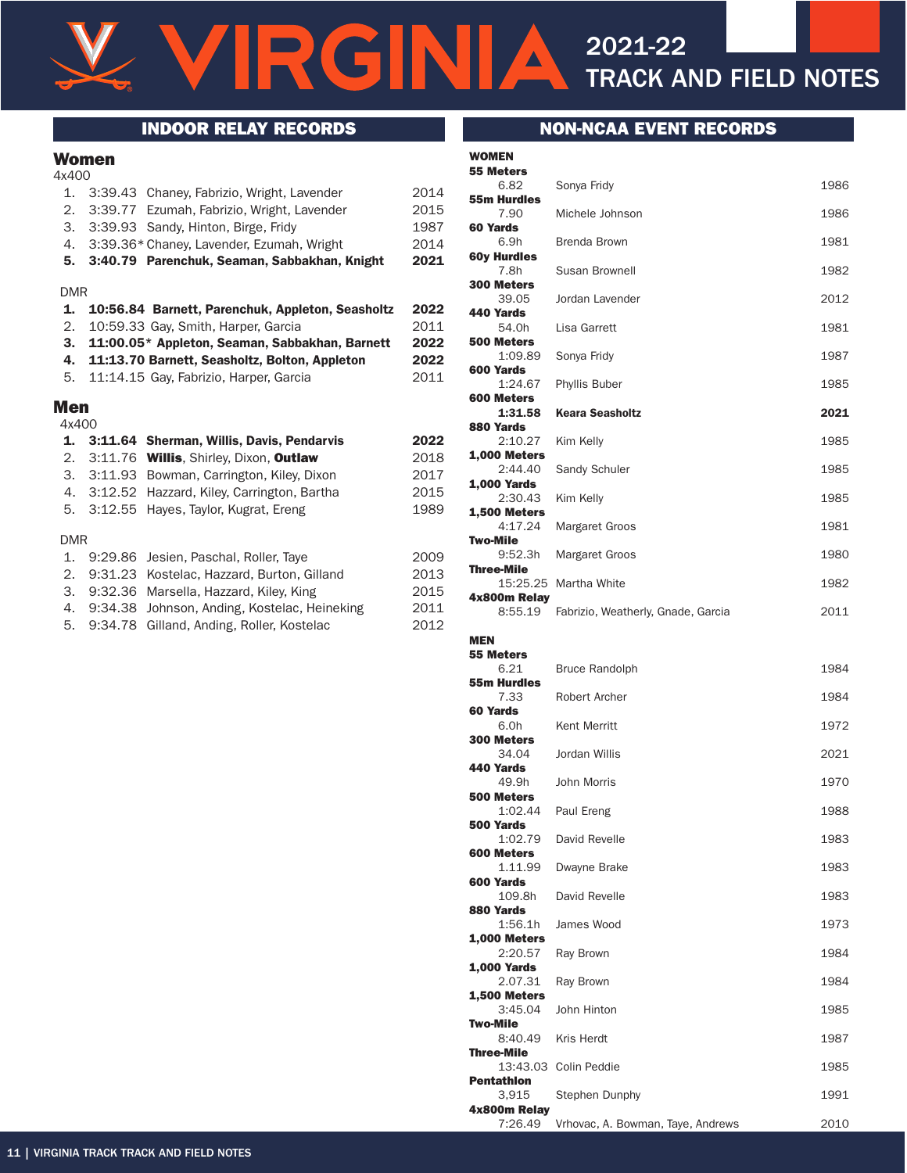RGINIA

# TRACK AND FIELD NOTES

#### Women

| 4x400      |            |                                                  |      |
|------------|------------|--------------------------------------------------|------|
| 1.         |            | 3:39.43 Chaney, Fabrizio, Wright, Lavender       | 2014 |
| 2.         |            | 3:39.77 Ezumah, Fabrizio, Wright, Lavender       | 2015 |
| З.         |            | 3:39.93 Sandy, Hinton, Birge, Fridy              | 1987 |
| 4.         |            | 3:39.36* Chaney, Lavender, Ezumah, Wright        | 2014 |
| 5.         |            | 3:40.79 Parenchuk, Seaman, Sabbakhan, Knight     | 2021 |
| <b>DMR</b> |            |                                                  |      |
| 1.         |            | 10:56.84 Barnett, Parenchuk, Appleton, Seasholtz | 2022 |
| 2.         |            | 10:59.33 Gay, Smith, Harper, Garcia              | 2011 |
| З.         |            | 11:00.05* Appleton, Seaman, Sabbakhan, Barnett   | 2022 |
| 4.         |            | 11:13.70 Barnett, Seasholtz, Bolton, Appleton    | 2022 |
| 5.         |            | 11:14.15 Gay, Fabrizio, Harper, Garcia           | 2011 |
| Men        |            |                                                  |      |
| 4x400      |            |                                                  |      |
| 1.         | 3:11.64    | Sherman, Willis, Davis, Pendarvis                | 2022 |
| 2.         | 3:11.76    | <b>Willis, Shirley, Dixon, Outlaw</b>            | 2018 |
| 3.         | 3:11.93    | Bowman, Carrington, Kiley, Dixon                 | 2017 |
|            | 4. 3:12.52 | Hazzard, Kiley, Carrington, Bartha               | 2015 |
| 5.         | 3:12.55    | Hayes, Taylor, Kugrat, Ereng                     | 1989 |
| <b>DMR</b> |            |                                                  |      |
| 1.         | 9:29.86    | Jesien, Paschal, Roller, Taye                    | 2009 |
| 2.         | 9:31.23    | Kostelac, Hazzard, Burton, Gilland               | 2013 |
| 3.         | 9:32.36    | Marsella, Hazzard, Kiley, King                   | 2015 |
| 4.         | 9:34.38    | Johnson, Anding, Kostelac, Heineking             | 2011 |

5. 9:34.78 Gilland, Anding, Roller, Kostelac 2012

# INDOOR RELAY RECORDS NON-NCAA EVENT RECORDS

2021-22

| <b>55 Meters</b>               |                                    |      |
|--------------------------------|------------------------------------|------|
| 6.82<br><b>55m Hurdles</b>     | Sonya Fridy                        | 1986 |
| 7.90<br>60 Yards               | Michele Johnson                    | 1986 |
| 6.9h                           | <b>Brenda Brown</b>                | 1981 |
| <b>60y Hurdles</b><br>7.8h     | Susan Brownell                     | 1982 |
| <b>300 Meters</b><br>39.05     | Jordan Lavender                    | 2012 |
| 440 Yards<br>54.0h             | Lisa Garrett                       | 1981 |
| <b>500 Meters</b><br>1:09.89   | Sonya Fridy                        | 1987 |
| 600 Yards<br>1:24.67           | <b>Phyllis Buber</b>               | 1985 |
| 600 Meters<br>1:31.58          | <b>Keara Seasholtz</b>             | 2021 |
| 880 Yards<br>2:10.27           | Kim Kelly                          | 1985 |
| <b>1.000 Meters</b><br>2:44.40 | Sandy Schuler                      | 1985 |
| <b>1,000 Yards</b><br>2:30.43  | Kim Kelly                          | 1985 |
| <b>1,500 Meters</b><br>4:17.24 | Margaret Groos                     | 1981 |
| Two-Mile<br>9:52.3h            | Margaret Groos                     | 1980 |
| <b>Three-Mile</b>              | 15:25.25 Martha White              | 1982 |
| 4x800m Relay<br>8:55.19        | Fabrizio, Weatherly, Gnade, Garcia | 2011 |
| <b>MEN</b>                     |                                    |      |
| <b>55 Meters</b>               |                                    |      |
| 6.21<br><b>55m Hurdles</b>     | <b>Bruce Randolph</b>              | 1984 |
| 7.33<br>60 Yards               | <b>Robert Archer</b>               | 1984 |
| 6.0h<br><b>300 Meters</b>      | <b>Kent Merritt</b>                | 1972 |
| 34.04<br>440 Yards             | Jordan Willis                      | 2021 |
| 49.9h<br>500 Meters            | John Morris                        | 1970 |
| 1:02.44<br>500 Yards           | Paul Ereng                         | 1988 |
| 1:02.79<br>600 Meters          | David Revelle                      | 1983 |
| 1.11.99<br>600 Yards           | Dwayne Brake                       | 1983 |
| 109.8h<br>880 Yards            | David Revelle                      | 1983 |
| 1:56.1h<br><b>1,000 Meters</b> | James Wood                         | 1973 |
| 2:20.57<br><b>1,000 Yards</b>  | Ray Brown                          | 1984 |
| 2.07.31<br><b>1,500 Meters</b> | Ray Brown                          | 1984 |
| 3:45.04<br><b>Two-Mile</b>     | John Hinton                        | 1985 |
| 8:40.49<br><b>Three-Mile</b>   | Kris Herdt                         | 1987 |
| <b>Pentathion</b>              | 13:43.03 Colin Peddie              | 1985 |
| 3,915                          | <b>Stephen Dunphy</b>              | 1991 |
| 4x800m Relay<br>7:26.49        | Vrhovac, A. Bowman, Taye, Andrews  | 2010 |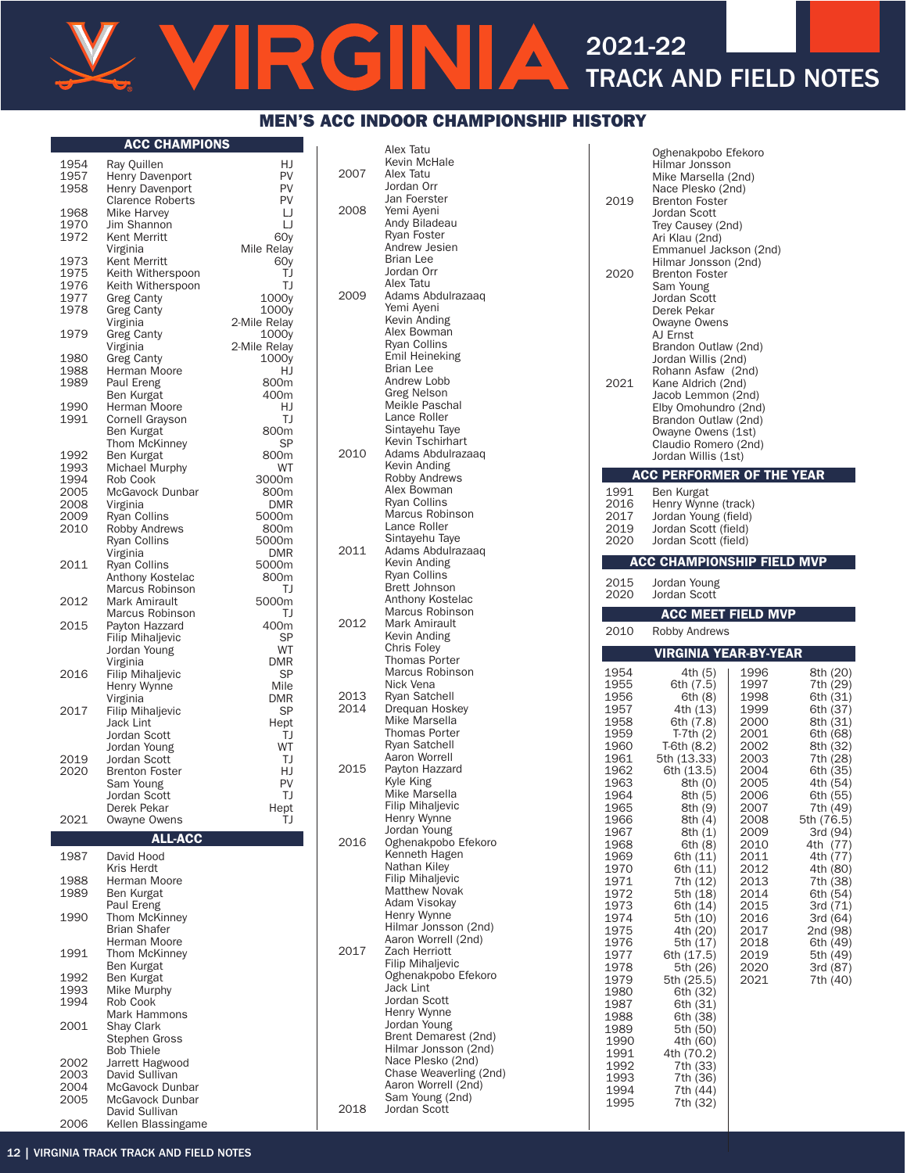# RGIN  $\blacktriangle$ 2021-22 TRACK AND FIELD NOTES

# MEN'S ACC INDOOR CHAMPIONSHIP HISTORY

#### ACC CHAMPIONS

|      | ш                       |              |
|------|-------------------------|--------------|
| 1954 | Ray Quillen             | HJ           |
| 1957 | Henry Davenport         | PV           |
| 1958 | <b>Henry Davenport</b>  | PV           |
|      | <b>Clarence Roberts</b> | PV           |
| 1968 | <b>Mike Harvey</b>      | IJ           |
| 1970 | Jim Shannon             | IJ           |
| 1972 | Kent Merritt            | 60y          |
|      |                         |              |
|      | Virginia                | Mile Relay   |
| 1973 | Kent Merritt            | 60y          |
| 1975 | Keith Witherspoon       | TJ           |
| 1976 | Keith Witherspoon       | TJ           |
| 1977 | <b>Greg Canty</b>       | 1000y        |
| 1978 | Greg Canty              | 1000y        |
|      | Virginia                | 2-Mile Relay |
| 1979 | Greg Canty              | 1000y        |
|      | Virginia                | 2-Mile Relav |
| 1980 | Greg Canty              | 1000y        |
| 1988 | Herman Moore            | HJ           |
| 1989 | Paul Ereng              | 800m         |
|      | Ben Kurgat              | 400m         |
| 1990 | Herman Moore            | HJ           |
| 1991 | Cornell Grayson         | TJ           |
|      |                         |              |
|      | Ben Kurgat              | 800m         |
|      | <b>Thom McKinney</b>    | SP           |
| 1992 | Ben Kurgat              | 800m         |
| 1993 | Michael Murphy          | WT           |
| 1994 | Rob Cook                | 3000m        |
| 2005 | McGavock Dunbar         | 800m         |
| 2008 | Virginia                | <b>DMR</b>   |
| 2009 | Ryan Collins            | 5000m        |
| 2010 | <b>Robby Andrews</b>    | 800m         |
|      | <b>Ryan Collins</b>     | 5000m        |
|      | Virginia                | <b>DMR</b>   |
| 2011 | <b>Ryan Collins</b>     | 5000m        |
|      | Anthony Kostelac        | 800m         |
|      | Marcus Robinson         | TJ           |
|      |                         |              |
| 2012 | Mark Amirault           | 5000m        |
|      | Marcus Robinson         | TJ           |
| 2015 | Payton Hazzard          | 400m         |
|      | <b>Filip Mihaljevic</b> | SP           |
|      | Jordan Young            | WT           |
|      | Virginia                | <b>DMR</b>   |
| 2016 | Filip Mihaljevic        | SP           |
|      | Henry Wynne             | Mile         |
|      | Virginia                | DMR          |
| 2017 | <b>Filip Mihaljevic</b> | SP           |
|      | <b>Jack Lint</b>        | Hept         |
|      | Jordan Scott            | TJ           |
|      | Jordan Young            | WT           |
| 2019 | Jordan Scott            | TJ           |
| 2020 | <b>Brenton Foster</b>   | HJ           |
|      |                         | PV           |
|      | Sam Young               |              |
|      | Jordan Scott            | TJ           |
|      | Derek Pekar             | Hept         |
| 2021 | Owayne Owens            | TJ           |
|      | <b>ALL-ACC</b>          |              |
|      |                         |              |
| 1987 | David Hood              |              |
|      | Kris Herdt              |              |
| 1988 | Herman Moore            |              |
| 1989 | <b>Ben Kurgat</b>       |              |
|      | Paul Ereng              |              |
| 1990 | Thom McKinney           |              |
|      | Brian Shafer            |              |
|      | Herman Moore            |              |
| 1991 | Thom McKinney           |              |
|      | Ben Kurgat              |              |
| 1992 | Ben Kurgat              |              |
| 1993 | Mike Murphy             |              |
| 1994 | Rob Cook                |              |
|      | Mark Hammons            |              |
| 2001 |                         |              |
|      | Shay Clark              |              |
|      | Stephen Gross           |              |
|      | <b>Bob Thiele</b>       |              |
| 2002 | Jarrett Hagwood         |              |
| 2003 | David Sullivan          |              |
| 2004 | McGavock Dunbar         |              |
| 2005 | McGavock Dunbar         |              |
|      | David Sullivan          |              |
| 2006 | Kellen Blassingame      |              |

|      | Alex Tatu                                       |
|------|-------------------------------------------------|
|      | Kevin McHale                                    |
| 2007 | Alex Tatu<br>Jordan Orr                         |
|      | Jan Foerster                                    |
| 2008 | Yemi Ayeni                                      |
|      | Andy Biladeau<br>Ryan Foster                    |
|      | Andrew Jesien                                   |
|      | Brian Lee<br>Jordan Orr                         |
|      | Alex Tatu                                       |
| 2009 | Adams Abdulrazaaq<br>Yemi Ayeni                 |
|      | Kevin Anding                                    |
|      | Alex Bowman<br>Ryan Collins                     |
|      | Emil Heineking                                  |
|      | Brian Lee                                       |
|      | Andrew Lobb<br>Greg Nelson                      |
|      | Meikle Paschal                                  |
|      | Lance Roller<br>Sintayehu Taye                  |
|      | Kevin Tschirhart                                |
| 2010 | Adams Abdulrazaaq<br>Kevin Anding               |
|      | <b>Robby Andrews</b>                            |
|      | Alex Bowman<br>Ryan Collins                     |
|      | Marcus Robinson                                 |
|      | Lance Roller                                    |
| 2011 | Sintayehu Taye<br>Adams Abdulrazaaq             |
|      | Kevin Anding                                    |
|      | <b>Ryan Collins</b><br><b>Brett Johnson</b>     |
|      | Anthony Kostelac                                |
| 2012 | Marcus Robinson<br>Mark Amirault                |
|      | Kevin Anding                                    |
|      | <b>Chris Foley</b><br><b>Thomas Porter</b>      |
|      | Marcus Robinson                                 |
| 2013 | Nick Vena<br>Ryan Satchell                      |
| 2014 | Drequan Hoskey                                  |
|      | Mike Marsella<br><b>Thomas Porter</b>           |
|      | Ryan Satchell                                   |
| 2015 | Aaron Worrell                                   |
|      | Payton Hazzard<br>Kyle King                     |
|      | Mike Marsella                                   |
|      | Filip Mihaljevic<br>Henry Wynne                 |
|      | Jordan Young                                    |
| 2016 | Oghenakpobo Efekoro<br>Kenneth Hagen            |
|      | Nathan Kiley                                    |
|      | <b>Filip Mihaljevic</b><br><b>Matthew Novak</b> |
|      | Adam Visokay                                    |
|      | Henry Wynne<br>Hilmar Jonsson (2nd)             |
|      | Aaron Worrell (2nd)                             |
| 2017 | Zach Herriott<br>Filip Mihaljevic               |
|      | Oghenakpobo Efekoro                             |
|      | Jack Lint<br>Jordan Scott                       |
|      | Henry Wynne                                     |
|      | Jordan Young                                    |
|      | Brent Demarest (2nd)<br>Hilmar Jonsson (2nd)    |
|      | Nace Plesko (2nd)                               |
|      | Chase Weaverling (2nd)<br>Aaron Worrell (2nd)   |
|      | Sam Young (2nd)                                 |
| 2018 | Jordan Scott                                    |

| 2019<br>2020<br>2021                 | Oghenakpobo Efekoro<br>Hilmar Jonsson<br>Mike Marsella (2nd)<br>Nace Plesko (2nd)<br><b>Brenton Foster</b><br>Jordan Scott<br>Trey Causey (2nd)<br>Ari Klau (2nd)<br>Emmanuel Jackson (2nd)<br>Hilmar Jonsson (2nd)<br><b>Brenton Foster</b><br>Sam Young<br>Jordan Scott<br>Derek Pekar<br>Owayne Owens<br>AJ Ernst<br>Brandon Outlaw (2nd)<br>Jordan Willis (2nd)<br>Rohann Asfaw (2nd)<br>Kane Aldrich (2nd)<br>Jacob Lemmon (2nd)<br>Elby Omohundro (2nd)<br>Brandon Outlaw (2nd)<br>Owayne Owens (1st)<br>Claudio Romero (2nd)<br>Jordan Willis (1st) |              |                        |
|--------------------------------------|------------------------------------------------------------------------------------------------------------------------------------------------------------------------------------------------------------------------------------------------------------------------------------------------------------------------------------------------------------------------------------------------------------------------------------------------------------------------------------------------------------------------------------------------------------|--------------|------------------------|
|                                      | <b>ACC PERFORMER OF THE YEAR</b>                                                                                                                                                                                                                                                                                                                                                                                                                                                                                                                           |              |                        |
| 1991<br>2016<br>2017<br>2019<br>2020 | Ben Kurgat<br>Henry Wynne (track)<br>Jordan Young (field)<br>Jordan Scott (field)<br>Jordan Scott (field)                                                                                                                                                                                                                                                                                                                                                                                                                                                  |              |                        |
|                                      | <b>ACC CHAMPIONSHIP FIELD MVP</b>                                                                                                                                                                                                                                                                                                                                                                                                                                                                                                                          |              |                        |
| 2015<br>2020                         | Jordan Young<br>Jordan Scott                                                                                                                                                                                                                                                                                                                                                                                                                                                                                                                               |              |                        |
|                                      | <b>ACC MEET FIELD MVP</b>                                                                                                                                                                                                                                                                                                                                                                                                                                                                                                                                  |              |                        |
| 2010                                 | Robby Andrews                                                                                                                                                                                                                                                                                                                                                                                                                                                                                                                                              |              |                        |
|                                      |                                                                                                                                                                                                                                                                                                                                                                                                                                                                                                                                                            |              |                        |
|                                      | VIRGINIA YEAR-BY-YEAR                                                                                                                                                                                                                                                                                                                                                                                                                                                                                                                                      |              |                        |
| 1954<br>1955                         | 4th (5)<br>6th (7.5)                                                                                                                                                                                                                                                                                                                                                                                                                                                                                                                                       | 1996<br>1997 | 8th (20)<br>7th (29)   |
| 1956                                 | 6th (8)                                                                                                                                                                                                                                                                                                                                                                                                                                                                                                                                                    | 1998         | 6th (31)               |
| 1957<br>1958                         | 4th (13)<br>6th (7.8)                                                                                                                                                                                                                                                                                                                                                                                                                                                                                                                                      | 1999<br>2000 | 6th (37)<br>8th (31)   |
| 1959<br>1960                         | T-7th (2)<br>T-6th (8.2)                                                                                                                                                                                                                                                                                                                                                                                                                                                                                                                                   | 2001<br>2002 | 6th (68)<br>8th (32)   |
| 1961                                 | 5th (13.33)                                                                                                                                                                                                                                                                                                                                                                                                                                                                                                                                                | 2003         | 7th (28)               |
| 1962<br>1963                         | 6th (13.5)<br>8th (0)                                                                                                                                                                                                                                                                                                                                                                                                                                                                                                                                      | 2004<br>2005 | 6th (35)<br>4th (54)   |
| 1964<br>1965                         | 8th (5)<br>8th (9)                                                                                                                                                                                                                                                                                                                                                                                                                                                                                                                                         | 2006<br>2007 | 6th (55)<br>7th (49)   |
| 1966<br>1967                         | 8th (4)<br>8th (1)                                                                                                                                                                                                                                                                                                                                                                                                                                                                                                                                         | 2008<br>2009 | 5th (76.5)<br>3rd (94) |
| 1968                                 | 6th (8)                                                                                                                                                                                                                                                                                                                                                                                                                                                                                                                                                    | 2010         | 4th (77)               |
| 1969<br>1970                         | 6th (11)<br>6th (11)                                                                                                                                                                                                                                                                                                                                                                                                                                                                                                                                       | 2011<br>2012 | 4th (77)<br>4th (80)   |
| 1971<br>1972                         | 7th (12)<br>5th (18)                                                                                                                                                                                                                                                                                                                                                                                                                                                                                                                                       | 2013<br>2014 | 7th (38)<br>6th (54)   |
| 1973<br>1974                         | 6th (14)<br>5th (10)                                                                                                                                                                                                                                                                                                                                                                                                                                                                                                                                       | 2015<br>2016 | 3rd (71)<br>3rd (64)   |
| 1975                                 | 4th (20)                                                                                                                                                                                                                                                                                                                                                                                                                                                                                                                                                   | 2017         | 2nd (98)               |
| 1976<br>1977                         | 5th (17)<br>6th (17.5)                                                                                                                                                                                                                                                                                                                                                                                                                                                                                                                                     | 2018<br>2019 | 6th (49)<br>5th (49)   |
| 1978<br>1979                         | 5th (26)<br>5th (25.5)                                                                                                                                                                                                                                                                                                                                                                                                                                                                                                                                     | 2020<br>2021 | 3rd (87)<br>7th (40)   |
| 1980<br>1987                         | 6th (32)<br>6th (31)                                                                                                                                                                                                                                                                                                                                                                                                                                                                                                                                       |              |                        |
| 1988                                 | 6th (38)                                                                                                                                                                                                                                                                                                                                                                                                                                                                                                                                                   |              |                        |
| 1989<br>1990                         | 5th (50)<br>4th (60)                                                                                                                                                                                                                                                                                                                                                                                                                                                                                                                                       |              |                        |
| 1991<br>1992                         | 4th (70.2)<br>7th (33)                                                                                                                                                                                                                                                                                                                                                                                                                                                                                                                                     |              |                        |
| 1993<br>1994                         | 7th (36)<br>7th (44)                                                                                                                                                                                                                                                                                                                                                                                                                                                                                                                                       |              |                        |